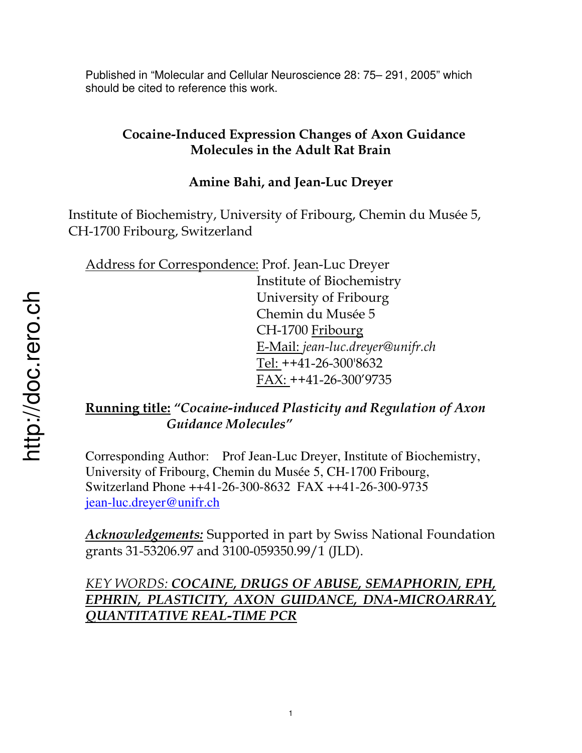Published in "Molecular and Cellular Neuroscience 28: 75– 291, 2005" which should be cited to reference this work.

# **Cocaine-Induced Expression Changes of Axon Guidance Molecules in the Adult Rat Brain**

# **Amine Bahi, and Jean-Luc Dreyer**

Institute of Biochemistry, University of Fribourg, Chemin du Musée 5, CH-1700 Fribourg, Switzerland

Address for Correspondence: Prof. Jean-Luc Dreyer

 Institute of Biochemistry University of Fribourg Chemin du Musée 5 CH-1700 Fribourg E-Mail: *jean-luc.dreyer@unifr.ch* Tel: ++41-26-300'8632 FAX: ++41-26-300'9735

# **Running title:** *"Cocaine-induced Plasticity and Regulation of Axon Guidance Molecules"*

Corresponding Author: Prof Jean-Luc Dreyer, Institute of Biochemistry, University of Fribourg, Chemin du Musée 5, CH-1700 Fribourg, Switzerland Phone ++41-26-300-8632 FAX ++41-26-300-9735 jean-luc.dreyer@unifr.ch

*Acknowledgements:* Supported in part by Swiss National Foundation grants 31-53206.97 and 3100-059350.99/1 (JLD).

# *KEY WORDS: COCAINE, DRUGS OF ABUSE, SEMAPHORIN, EPH, EPHRIN, PLASTICITY, AXON GUIDANCE, DNA-MICROARRAY, QUANTITATIVE REAL-TIME PCR*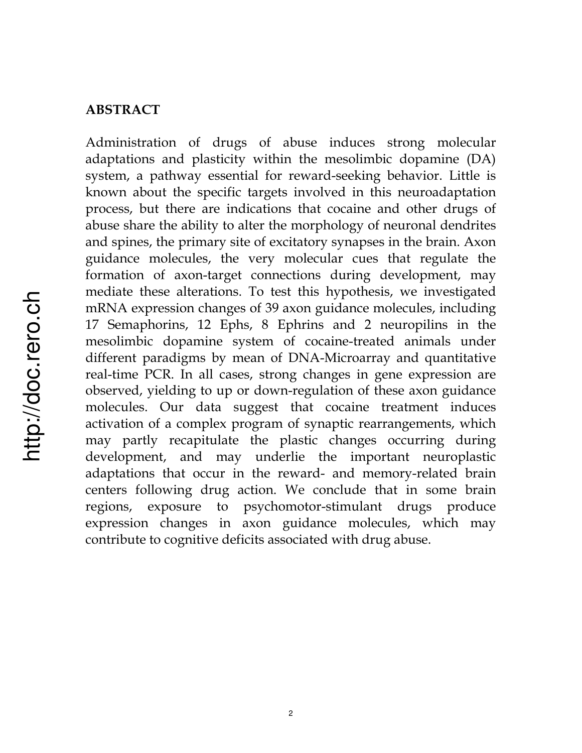#### **ABSTRACT**

Administration of drugs of abuse induces strong molecular adaptations and plasticity within the mesolimbic dopamine (DA) system, a pathway essential for reward-seeking behavior. Little is known about the specific targets involved in this neuroadaptation process, but there are indications that cocaine and other drugs of abuse share the ability to alter the morphology of neuronal dendrites and spines, the primary site of excitatory synapses in the brain. Axon guidance molecules, the very molecular cues that regulate the formation of axon-target connections during development, may mediate these alterations. To test this hypothesis, we investigated mRNA expression changes of 39 axon guidance molecules, including 17 Semaphorins, 12 Ephs, 8 Ephrins and 2 neuropilins in the mesolimbic dopamine system of cocaine-treated animals under different paradigms by mean of DNA-Microarray and quantitative real-time PCR. In all cases, strong changes in gene expression are observed, yielding to up or down-regulation of these axon guidance molecules. Our data suggest that cocaine treatment induces activation of a complex program of synaptic rearrangements, which may partly recapitulate the plastic changes occurring during development, and may underlie the important neuroplastic adaptations that occur in the reward- and memory-related brain centers following drug action. We conclude that in some brain regions, exposure to psychomotor-stimulant drugs produce expression changes in axon guidance molecules, which may contribute to cognitive deficits associated with drug abuse.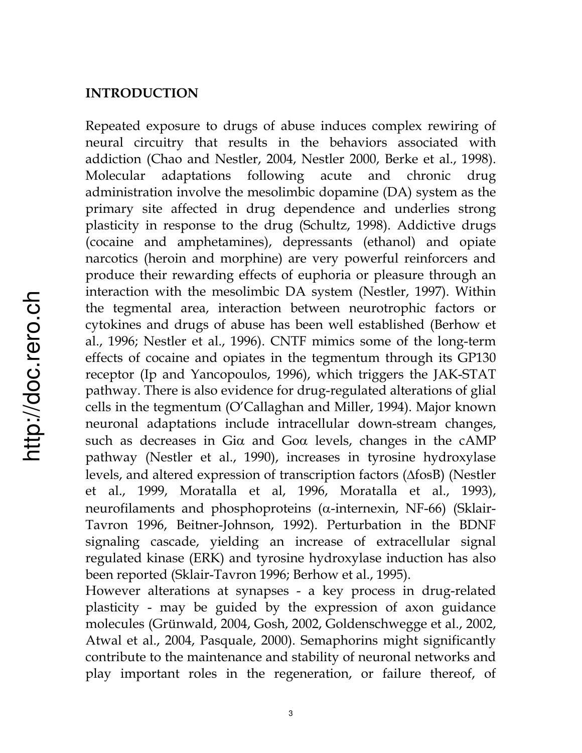#### **INTRODUCTION**

Repeated exposure to drugs of abuse induces complex rewiring of neural circuitry that results in the behaviors associated with addiction (Chao and Nestler, 2004, Nestler 2000, Berke et al., 1998). Molecular adaptations following acute and chronic drug administration involve the mesolimbic dopamine (DA) system as the primary site affected in drug dependence and underlies strong plasticity in response to the drug (Schultz, 1998). Addictive drugs (cocaine and amphetamines), depressants (ethanol) and opiate narcotics (heroin and morphine) are very powerful reinforcers and produce their rewarding effects of euphoria or pleasure through an interaction with the mesolimbic DA system (Nestler, 1997). Within the tegmental area, interaction between neurotrophic factors or cytokines and drugs of abuse has been well established (Berhow et al., 1996; Nestler et al., 1996). CNTF mimics some of the long-term effects of cocaine and opiates in the tegmentum through its GP130 receptor (Ip and Yancopoulos, 1996), which triggers the JAK-STAT pathway. There is also evidence for drug-regulated alterations of glial cells in the tegmentum (O'Callaghan and Miller, 1994). Major known neuronal adaptations include intracellular down-stream changes, such as decreases in Gi $\alpha$  and Go $\alpha$  levels, changes in the cAMP pathway (Nestler et al., 1990), increases in tyrosine hydroxylase levels, and altered expression of transcription factors  $(\triangle f \circ B)$  (Nestler et al., 1999, Moratalla et al, 1996, Moratalla et al., 1993), neurofilaments and phosphoproteins ( $\alpha$ -internexin, NF-66) (Sklair-Tavron 1996, Beitner-Johnson, 1992). Perturbation in the BDNF signaling cascade, yielding an increase of extracellular signal regulated kinase (ERK) and tyrosine hydroxylase induction has also been reported (Sklair-Tavron 1996; Berhow et al., 1995).

However alterations at synapses - a key process in drug-related plasticity - may be guided by the expression of axon guidance molecules (Grünwald, 2004, Gosh, 2002, Goldenschwegge et al., 2002, Atwal et al., 2004, Pasquale, 2000). Semaphorins might significantly contribute to the maintenance and stability of neuronal networks and play important roles in the regeneration, or failure thereof, of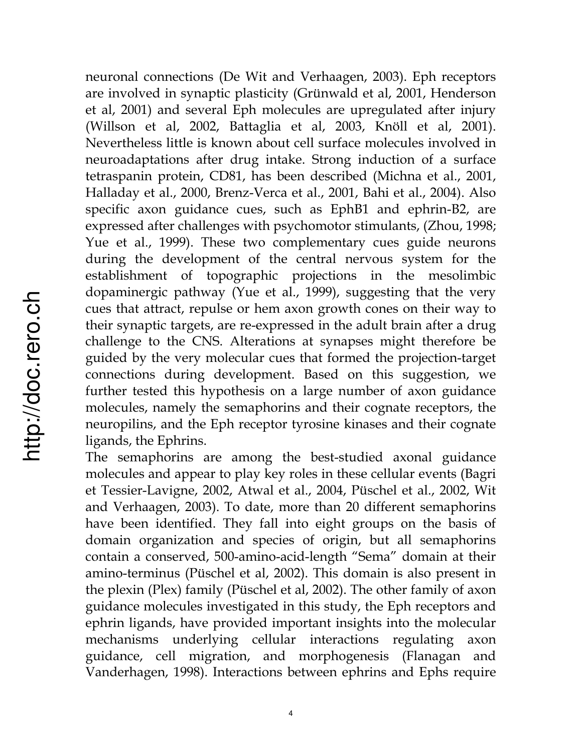neuronal connections (De Wit and Verhaagen, 2003). Eph receptors are involved in synaptic plasticity (Grünwald et al, 2001, Henderson et al, 2001) and several Eph molecules are upregulated after injury (Willson et al, 2002, Battaglia et al, 2003, Knöll et al, 2001). Nevertheless little is known about cell surface molecules involved in neuroadaptations after drug intake. Strong induction of a surface tetraspanin protein, CD81, has been described (Michna et al., 2001, Halladay et al., 2000, Brenz-Verca et al., 2001, Bahi et al., 2004). Also specific axon guidance cues, such as EphB1 and ephrin-B2, are expressed after challenges with psychomotor stimulants, (Zhou, 1998; Yue et al., 1999). These two complementary cues guide neurons during the development of the central nervous system for the establishment of topographic projections in the mesolimbic dopaminergic pathway (Yue et al., 1999), suggesting that the very cues that attract, repulse or hem axon growth cones on their way to their synaptic targets, are re-expressed in the adult brain after a drug challenge to the CNS. Alterations at synapses might therefore be guided by the very molecular cues that formed the projection-target connections during development. Based on this suggestion, we further tested this hypothesis on a large number of axon guidance molecules, namely the semaphorins and their cognate receptors, the neuropilins, and the Eph receptor tyrosine kinases and their cognate ligands, the Ephrins.

The semaphorins are among the best-studied axonal guidance molecules and appear to play key roles in these cellular events (Bagri et Tessier-Lavigne, 2002, Atwal et al., 2004, Püschel et al., 2002, Wit and Verhaagen, 2003). To date, more than 20 different semaphorins have been identified. They fall into eight groups on the basis of domain organization and species of origin, but all semaphorins contain a conserved, 500-amino-acid-length "Sema" domain at their amino-terminus (Püschel et al, 2002). This domain is also present in the plexin (Plex) family (Püschel et al, 2002). The other family of axon guidance molecules investigated in this study, the Eph receptors and ephrin ligands, have provided important insights into the molecular mechanisms underlying cellular interactions regulating axon guidance, cell migration, and morphogenesis (Flanagan and Vanderhagen, 1998). Interactions between ephrins and Ephs require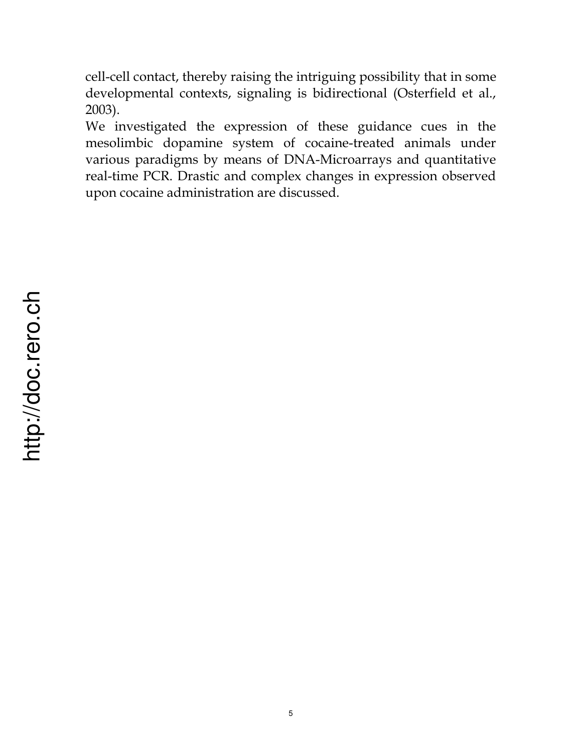cell-cell contact, thereby raising the intriguing possibility that in some developmental contexts, signaling is bidirectional (Osterfield et al., 2003).

We investigated the expression of these guidance cues in the mesolimbic dopamine system of cocaine-treated animals under various paradigms by means of DNA-Microarrays and quantitative real-time PCR. Drastic and complex changes in expression observed upon cocaine administration are discussed.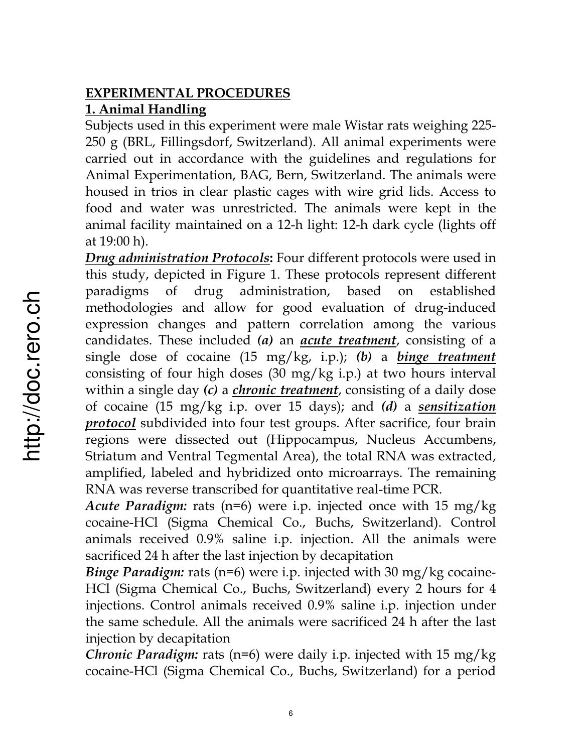# **EXPERIMENTAL PROCEDURES 1. Animal Handling**

Subjects used in this experiment were male Wistar rats weighing 225- 250 g (BRL, Fillingsdorf, Switzerland). All animal experiments were carried out in accordance with the guidelines and regulations for Animal Experimentation, BAG, Bern, Switzerland. The animals were housed in trios in clear plastic cages with wire grid lids. Access to food and water was unrestricted. The animals were kept in the animal facility maintained on a 12-h light: 12-h dark cycle (lights off at 19:00 h).

*Drug administration Protocols***:** Four different protocols were used in this study, depicted in Figure 1. These protocols represent different paradigms of drug administration, based on established methodologies and allow for good evaluation of drug-induced expression changes and pattern correlation among the various candidates. These included *(a)* an *acute treatment*, consisting of a single dose of cocaine (15 mg/kg, i.p.); *(b)* a *binge treatment* consisting of four high doses (30 mg/kg i.p.) at two hours interval within a single day *(c)* a *chronic treatment*, consisting of a daily dose of cocaine (15 mg/kg i.p. over 15 days); and *(d)* a *sensitization protocol* subdivided into four test groups. After sacrifice, four brain regions were dissected out (Hippocampus, Nucleus Accumbens, Striatum and Ventral Tegmental Area), the total RNA was extracted, amplified, labeled and hybridized onto microarrays. The remaining RNA was reverse transcribed for quantitative real-time PCR.

*Acute Paradigm:* rats (n=6) were i.p. injected once with 15 mg/kg cocaine-HCl (Sigma Chemical Co., Buchs, Switzerland). Control animals received 0.9% saline i.p. injection. All the animals were sacrificed 24 h after the last injection by decapitation

*Binge Paradigm:* rats (n=6) were i.p. injected with 30 mg/kg cocaine-HCl (Sigma Chemical Co., Buchs, Switzerland) every 2 hours for 4 injections. Control animals received 0.9% saline i.p. injection under the same schedule. All the animals were sacrificed 24 h after the last injection by decapitation

*Chronic Paradigm:* rats (n=6) were daily i.p. injected with 15 mg/kg cocaine-HCl (Sigma Chemical Co., Buchs, Switzerland) for a period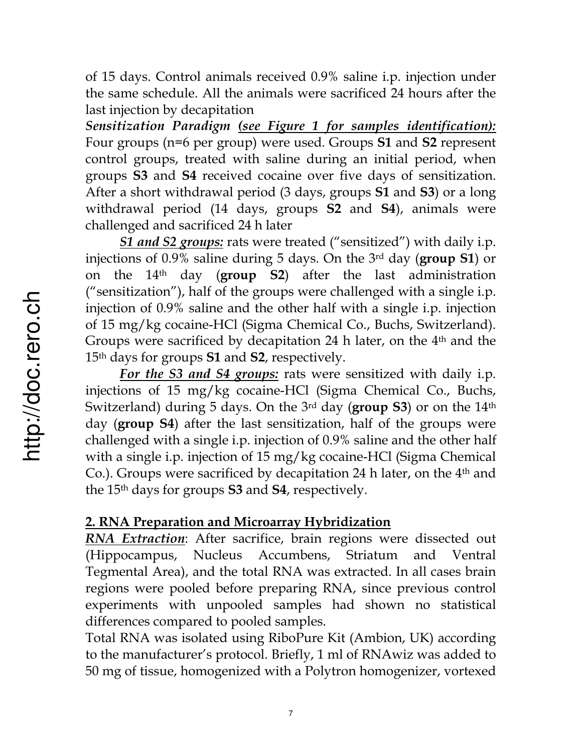of 15 days. Control animals received 0.9% saline i.p. injection under the same schedule. All the animals were sacrificed 24 hours after the last injection by decapitation

*Sensitization Paradigm (see Figure 1 for samples identification):* Four groups (n=6 per group) were used*.* Groups **S1** and **S2** represent control groups, treated with saline during an initial period, when groups **S3** and **S4** received cocaine over five days of sensitization. After a short withdrawal period (3 days, groups **S1** and **S3**) or a long withdrawal period (14 days, groups **S2** and **S4**), animals were challenged and sacrificed 24 h later

*S1 and S2 groups:* rats were treated ("sensitized") with daily i.p. injections of 0.9% saline during 5 days. On the 3rd day (**group S1**) or on the 14th day (**group S2**) after the last administration ("sensitization"), half of the groups were challenged with a single i.p. injection of 0.9% saline and the other half with a single i.p. injection of 15 mg/kg cocaine-HCl (Sigma Chemical Co., Buchs, Switzerland). Groups were sacrificed by decapitation 24 h later, on the 4<sup>th</sup> and the 15th days for groups **S1** and **S2**, respectively.

*For the S3 and S4 groups:* rats were sensitized with daily i.p. injections of 15 mg/kg cocaine-HCl (Sigma Chemical Co., Buchs, Switzerland) during 5 days. On the 3rd day (**group S3**) or on the 14th day (**group S4**) after the last sensitization, half of the groups were challenged with a single i.p. injection of 0.9% saline and the other half with a single i.p. injection of 15 mg/kg cocaine-HCl (Sigma Chemical Co.). Groups were sacrificed by decapitation 24 h later, on the  $4<sup>th</sup>$  and the 15th days for groups **S3** and **S4**, respectively.

#### **2. RNA Preparation and Microarray Hybridization**

*RNA Extraction*: After sacrifice, brain regions were dissected out (Hippocampus, Nucleus Accumbens, Striatum and Ventral Tegmental Area), and the total RNA was extracted. In all cases brain regions were pooled before preparing RNA, since previous control experiments with unpooled samples had shown no statistical differences compared to pooled samples.

Total RNA was isolated using RiboPure Kit (Ambion, UK) according to the manufacturer's protocol. Briefly, 1 ml of RNAwiz was added to 50 mg of tissue, homogenized with a Polytron homogenizer, vortexed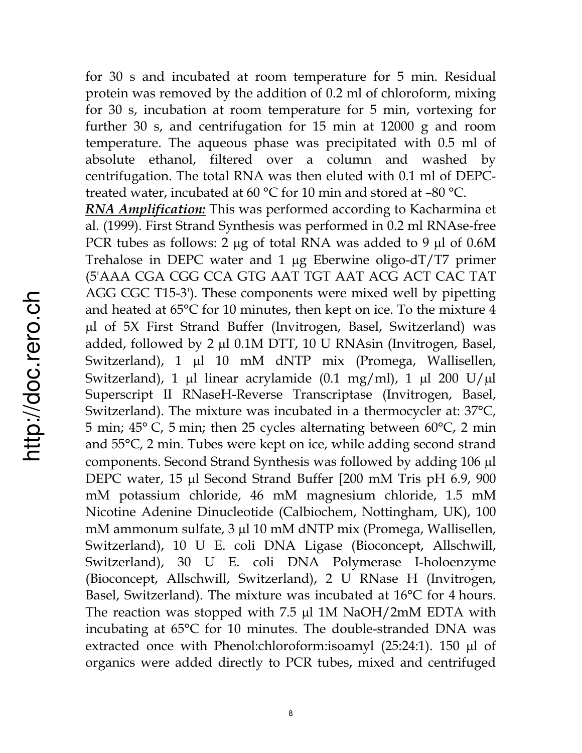for 30 s and incubated at room temperature for 5 min. Residual protein was removed by the addition of 0.2 ml of chloroform, mixing for 30 s, incubation at room temperature for 5 min, vortexing for further 30 s, and centrifugation for 15 min at 12000 g and room temperature. The aqueous phase was precipitated with 0.5 ml of absolute ethanol, filtered over a column and washed by centrifugation. The total RNA was then eluted with 0.1 ml of DEPCtreated water, incubated at 60 °C for 10 min and stored at –80 °C.

*RNA Amplification:* This was performed according to Kacharmina et al. (1999). First Strand Synthesis was performed in 0.2 ml RNAse-free PCR tubes as follows: 2  $\mu$ g of total RNA was added to 9  $\mu$ l of 0.6M Trehalose in DEPC water and  $1 \mu$ g Eberwine oligo-dT/T7 primer (5'AAA CGA CGG CCA GTG AAT TGT AAT ACG ACT CAC TAT AGG CGC T15-3'). These components were mixed well by pipetting and heated at 65°C for 10 minutes, then kept on ice. To the mixture 4 µl of 5X First Strand Buffer (Invitrogen, Basel, Switzerland) was added, followed by 2  $\mu$ l 0.1M DTT, 10 U RNAsin (Invitrogen, Basel, Switzerland), 1 µl 10 mM dNTP mix (Promega, Wallisellen, Switzerland), 1 µl linear acrylamide (0.1 mg/ml), 1 µl 200 U/µl Superscript II RNaseH-Reverse Transcriptase (Invitrogen, Basel, Switzerland). The mixture was incubated in a thermocycler at: 37°C, 5 min; 45° C, 5 min; then 25 cycles alternating between 60°C, 2 min and 55°C, 2 min. Tubes were kept on ice, while adding second strand components. Second Strand Synthesis was followed by adding 106 µl DEPC water, 15 µl Second Strand Buffer [200 mM Tris pH 6.9, 900 mM potassium chloride, 46 mM magnesium chloride, 1.5 mM Nicotine Adenine Dinucleotide (Calbiochem, Nottingham, UK), 100 mM ammonum sulfate, 3 µl 10 mM dNTP mix (Promega, Wallisellen, Switzerland), 10 U E. coli DNA Ligase (Bioconcept, Allschwill, Switzerland), 30 U E. coli DNA Polymerase I-holoenzyme (Bioconcept, Allschwill, Switzerland), 2 U RNase H (Invitrogen, Basel, Switzerland). The mixture was incubated at 16°C for 4 hours. The reaction was stopped with  $7.5 \mu$  1M NaOH/2mM EDTA with incubating at 65°C for 10 minutes. The double-stranded DNA was extracted once with Phenol:chloroform:isoamyl  $(25:24:1)$ . 150  $\mu$ l of organics were added directly to PCR tubes, mixed and centrifuged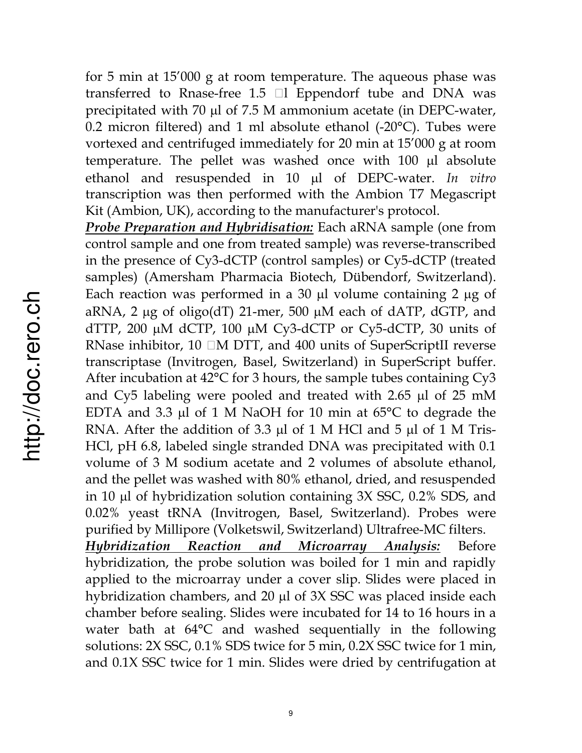for 5 min at 15'000 g at room temperature. The aqueous phase was transferred to Rnase-free 1.5  $\Box$  Eppendorf tube and DNA was precipitated with 70  $\mu$ l of 7.5 M ammonium acetate (in DEPC-water, 0.2 micron filtered) and 1 ml absolute ethanol  $(-20^{\circ}C)$ . Tubes were vortexed and centrifuged immediately for 20 min at 15'000 g at room temperature. The pellet was washed once with  $100 \mu l$  absolute ethanol and resuspended in 10 µl of DEPC-water. *In vitro* transcription was then performed with the Ambion T7 Megascript Kit (Ambion, UK), according to the manufacturer's protocol.

*Probe Preparation and Hybridisation:* Each aRNA sample (one from control sample and one from treated sample) was reverse-transcribed in the presence of Cy3-dCTP (control samples) or Cy5-dCTP (treated samples) (Amersham Pharmacia Biotech, Dübendorf, Switzerland). Each reaction was performed in a 30  $\mu$ l volume containing 2  $\mu$ g of aRNA, 2  $\mu$ g of oligo(dT) 21-mer, 500  $\mu$ M each of dATP, dGTP, and dTTP, 200  $\mu$ M dCTP, 100  $\mu$ M Cy3-dCTP or Cy5-dCTP, 30 units of RNase inhibitor,  $10 \Box M$  DTT, and  $400$  units of SuperScriptII reverse transcriptase (Invitrogen, Basel, Switzerland) in SuperScript buffer. After incubation at 42°C for 3 hours, the sample tubes containing Cy3 and Cy5 labeling were pooled and treated with  $2.65$   $\mu$ l of  $25$  mM EDTA and 3.3  $\mu$ l of 1 M NaOH for 10 min at 65°C to degrade the RNA. After the addition of 3.3  $\mu$ l of 1 M HCl and 5  $\mu$ l of 1 M Tris-HCl, pH 6.8, labeled single stranded DNA was precipitated with 0.1 volume of 3 M sodium acetate and 2 volumes of absolute ethanol, and the pellet was washed with 80% ethanol, dried, and resuspended in 10  $\mu$ l of hybridization solution containing 3X SSC, 0.2% SDS, and 0.02% yeast tRNA (Invitrogen, Basel, Switzerland). Probes were purified by Millipore (Volketswil, Switzerland) Ultrafree-MC filters. *Hybridization Reaction and Microarray Analysis:* Before hybridization, the probe solution was boiled for 1 min and rapidly applied to the microarray under a cover slip. Slides were placed in hybridization chambers, and  $20 \mu$ l of  $3X$  SSC was placed inside each chamber before sealing. Slides were incubated for 14 to 16 hours in a

water bath at 64°C and washed sequentially in the following solutions: 2X SSC, 0.1% SDS twice for 5 min, 0.2X SSC twice for 1 min, and 0.1X SSC twice for 1 min. Slides were dried by centrifugation at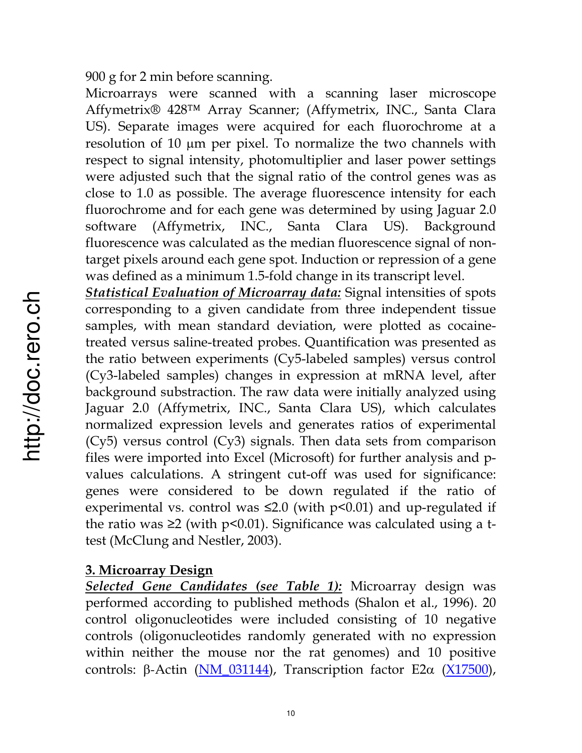900 g for 2 min before scanning.

Microarrays were scanned with a scanning laser microscope Affymetrix® 428™ Array Scanner; (Affymetrix, INC., Santa Clara US). Separate images were acquired for each fluorochrome at a resolution of 10  $\mu$ m per pixel. To normalize the two channels with respect to signal intensity, photomultiplier and laser power settings were adjusted such that the signal ratio of the control genes was as close to 1.0 as possible. The average fluorescence intensity for each fluorochrome and for each gene was determined by using Jaguar 2.0 software (Affymetrix, INC., Santa Clara US). Background fluorescence was calculated as the median fluorescence signal of nontarget pixels around each gene spot. Induction or repression of a gene was defined as a minimum 1.5-fold change in its transcript level.

*Statistical Evaluation of Microarray data:* Signal intensities of spots corresponding to a given candidate from three independent tissue samples, with mean standard deviation, were plotted as cocainetreated versus saline-treated probes. Quantification was presented as the ratio between experiments (Cy5-labeled samples) versus control (Cy3-labeled samples) changes in expression at mRNA level, after background substraction. The raw data were initially analyzed using Jaguar 2.0 (Affymetrix, INC., Santa Clara US), which calculates normalized expression levels and generates ratios of experimental (Cy5) versus control (Cy3) signals. Then data sets from comparison files were imported into Excel (Microsoft) for further analysis and pvalues calculations. A stringent cut-off was used for significance: genes were considered to be down regulated if the ratio of experimental vs. control was  $\leq 2.0$  (with p $\leq 0.01$ ) and up-regulated if the ratio was  $\geq 2$  (with p<0.01). Significance was calculated using a ttest (McClung and Nestler, 2003).

## **3. Microarray Design**

*Selected Gene Candidates (see Table 1):* Microarray design was performed according to published methods (Shalon et al., 1996). 20 control oligonucleotides were included consisting of 10 negative controls (oligonucleotides randomly generated with no expression within neither the mouse nor the rat genomes) and 10 positive controls:  $\beta$ -Actin (NM\_031144), Transcription factor E2 $\alpha$  (X17500),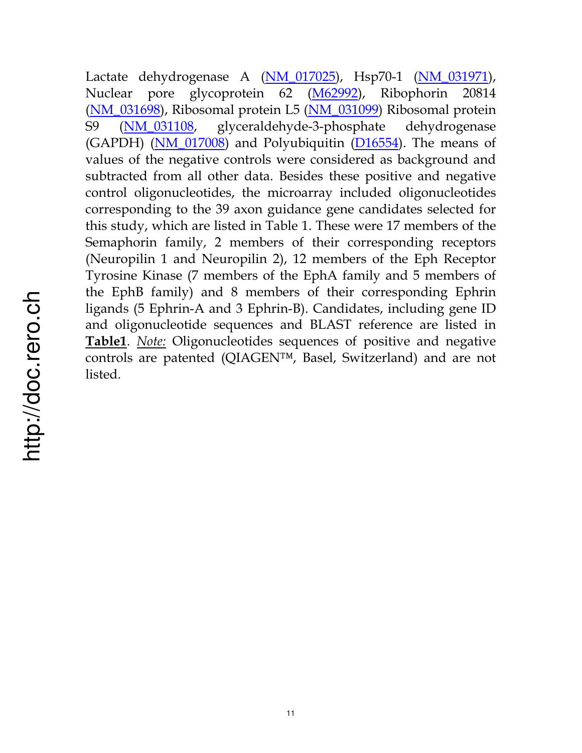Lactate dehydrogenase A (NM\_017025), Hsp70-1 (NM\_031971), Nuclear pore glycoprotein 62 (M62992), Ribophorin 20814 (NM\_031698), Ribosomal protein L5 (NM\_031099) Ribosomal protein S9 (NM\_031108, glyceraldehyde-3-phosphate dehydrogenase (GAPDH) (NM\_017008) and Polyubiquitin (D16554). The means of values of the negative controls were considered as background and subtracted from all other data. Besides these positive and negative control oligonucleotides, the microarray included oligonucleotides corresponding to the 39 axon guidance gene candidates selected for this study, which are listed in Table 1. These were 17 members of the Semaphorin family, 2 members of their corresponding receptors (Neuropilin 1 and Neuropilin 2), 12 members of the Eph Receptor Tyrosine Kinase (7 members of the EphA family and 5 members of the EphB family) and 8 members of their corresponding Ephrin ligands (5 Ephrin-A and 3 Ephrin-B). Candidates, including gene ID and oligonucleotide sequences and BLAST reference are listed in **Table1**. *Note:* Oligonucleotides sequences of positive and negative controls are patented (QIAGEN™, Basel, Switzerland) and are not listed.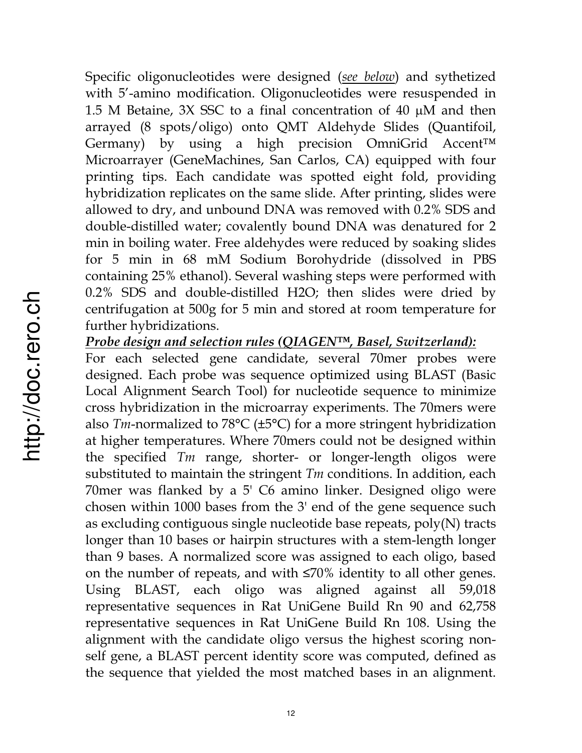Specific oligonucleotides were designed (*see below*) and sythetized with 5'-amino modification. Oligonucleotides were resuspended in 1.5 M Betaine, 3X SSC to a final concentration of 40  $\mu$ M and then arrayed (8 spots/oligo) onto QMT Aldehyde Slides (Quantifoil, Germany) by using a high precision OmniGrid Accent™ Microarrayer (GeneMachines, San Carlos, CA) equipped with four printing tips. Each candidate was spotted eight fold, providing hybridization replicates on the same slide. After printing, slides were allowed to dry, and unbound DNA was removed with 0.2% SDS and double-distilled water; covalently bound DNA was denatured for 2 min in boiling water. Free aldehydes were reduced by soaking slides for 5 min in 68 mM Sodium Borohydride (dissolved in PBS containing 25% ethanol). Several washing steps were performed with 0.2% SDS and double-distilled H2O; then slides were dried by centrifugation at 500g for 5 min and stored at room temperature for further hybridizations.

*Probe design and selection rules (QIAGEN™, Basel, Switzerland):*

For each selected gene candidate, several 70mer probes were designed. Each probe was sequence optimized using BLAST (Basic Local Alignment Search Tool) for nucleotide sequence to minimize cross hybridization in the microarray experiments. The 70mers were also *Tm*-normalized to 78°C (±5°C) for a more stringent hybridization at higher temperatures. Where 70mers could not be designed within the specified *Tm* range, shorter- or longer-length oligos were substituted to maintain the stringent *Tm* conditions. In addition, each 70mer was flanked by a 5' C6 amino linker. Designed oligo were chosen within 1000 bases from the 3' end of the gene sequence such as excluding contiguous single nucleotide base repeats, poly(N) tracts longer than 10 bases or hairpin structures with a stem-length longer than 9 bases. A normalized score was assigned to each oligo, based on the number of repeats, and with  $\leq 70\%$  identity to all other genes. Using BLAST, each oligo was aligned against all 59,018 representative sequences in Rat UniGene Build Rn 90 and 62,758 representative sequences in Rat UniGene Build Rn 108. Using the alignment with the candidate oligo versus the highest scoring nonself gene, a BLAST percent identity score was computed, defined as the sequence that yielded the most matched bases in an alignment.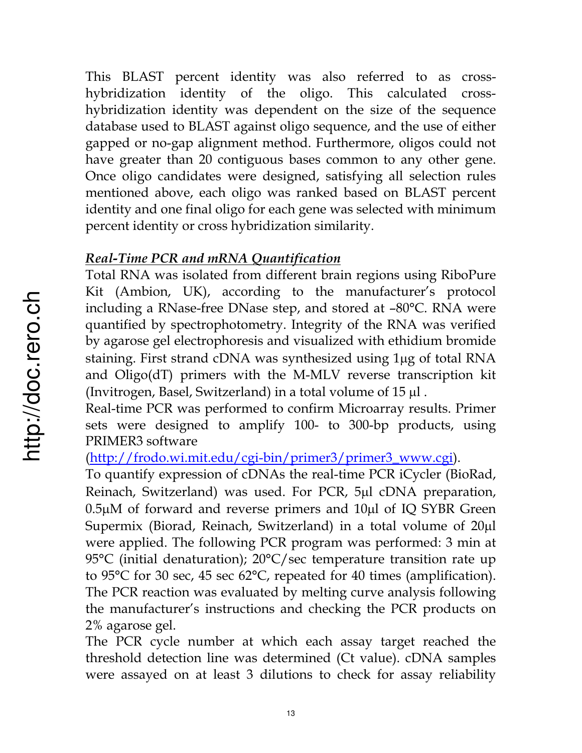This BLAST percent identity was also referred to as crosshybridization identity of the oligo. This calculated crosshybridization identity was dependent on the size of the sequence database used to BLAST against oligo sequence, and the use of either gapped or no-gap alignment method. Furthermore, oligos could not have greater than 20 contiguous bases common to any other gene. Once oligo candidates were designed, satisfying all selection rules mentioned above, each oligo was ranked based on BLAST percent identity and one final oligo for each gene was selected with minimum percent identity or cross hybridization similarity.

## *Real-Time PCR and mRNA Quantification*

Total RNA was isolated from different brain regions using RiboPure Kit (Ambion, UK), according to the manufacturer's protocol including a RNase-free DNase step, and stored at –80°C. RNA were quantified by spectrophotometry. Integrity of the RNA was verified by agarose gel electrophoresis and visualized with ethidium bromide staining. First strand cDNA was synthesized using 1µg of total RNA and Oligo(dT) primers with the M-MLV reverse transcription kit (Invitrogen, Basel, Switzerland) in a total volume of  $15 \mu$ .

Real-time PCR was performed to confirm Microarray results. Primer sets were designed to amplify 100- to 300-bp products, using PRIMER3 software

(http://frodo.wi.mit.edu/cgi-bin/primer3/primer3\_www.cgi).

To quantify expression of cDNAs the real-time PCR iCycler (BioRad, Reinach, Switzerland) was used. For PCR, 5µl cDNA preparation,  $0.5\mu$ M of forward and reverse primers and  $10\mu$ l of IQ SYBR Green Supermix (Biorad, Reinach, Switzerland) in a total volume of  $20\mu$ l were applied. The following PCR program was performed: 3 min at 95°C (initial denaturation); 20°C/sec temperature transition rate up to 95°C for 30 sec, 45 sec 62°C, repeated for 40 times (amplification). The PCR reaction was evaluated by melting curve analysis following the manufacturer's instructions and checking the PCR products on 2% agarose gel.

The PCR cycle number at which each assay target reached the threshold detection line was determined (Ct value). cDNA samples were assayed on at least 3 dilutions to check for assay reliability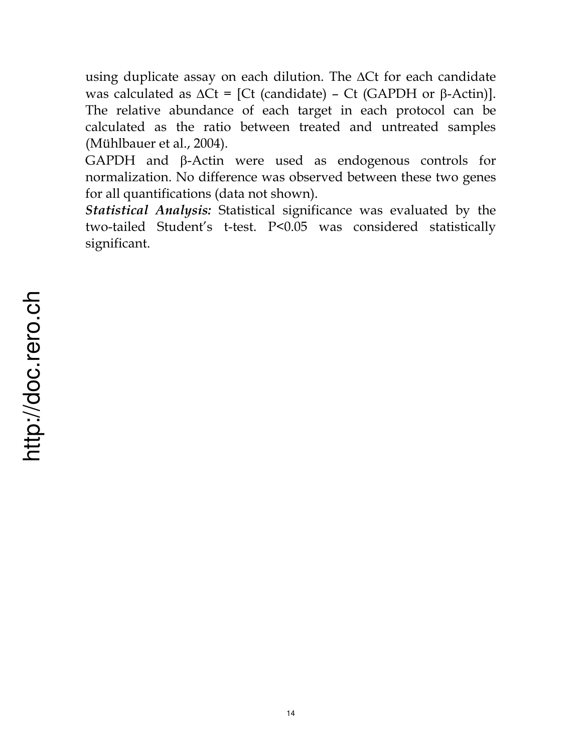using duplicate assay on each dilution. The  $\Delta$ Ct for each candidate was calculated as  $\Delta Ct = [Ct$  (candidate) – Ct (GAPDH or  $\beta$ -Actin)]. The relative abundance of each target in each protocol can be calculated as the ratio between treated and untreated samples (Mühlbauer et al., 2004).

GAPDH and  $\beta$ -Actin were used as endogenous controls for normalization. No difference was observed between these two genes for all quantifications (data not shown).

*Statistical Analysis:* Statistical significance was evaluated by the two-tailed Student's t-test. P<0.05 was considered statistically significant.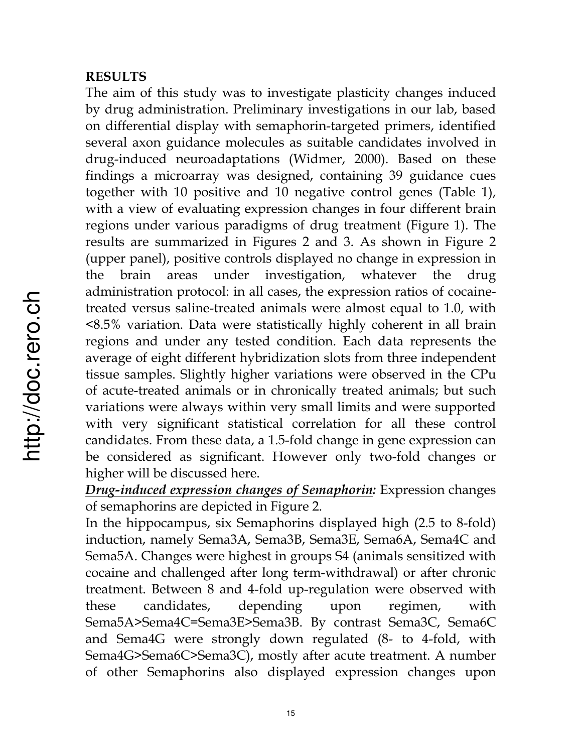#### **RESULTS**

The aim of this study was to investigate plasticity changes induced by drug administration. Preliminary investigations in our lab, based on differential display with semaphorin-targeted primers, identified several axon guidance molecules as suitable candidates involved in drug-induced neuroadaptations (Widmer, 2000). Based on these findings a microarray was designed, containing 39 guidance cues together with 10 positive and 10 negative control genes (Table 1), with a view of evaluating expression changes in four different brain regions under various paradigms of drug treatment (Figure 1). The results are summarized in Figures 2 and 3. As shown in Figure 2 (upper panel), positive controls displayed no change in expression in the brain areas under investigation, whatever the drug administration protocol: in all cases, the expression ratios of cocainetreated versus saline-treated animals were almost equal to 1.0, with <8.5% variation. Data were statistically highly coherent in all brain regions and under any tested condition. Each data represents the average of eight different hybridization slots from three independent tissue samples. Slightly higher variations were observed in the CPu of acute-treated animals or in chronically treated animals; but such variations were always within very small limits and were supported with very significant statistical correlation for all these control candidates. From these data, a 1.5-fold change in gene expression can be considered as significant. However only two-fold changes or higher will be discussed here.

*Drug-induced expression changes of Semaphorin:* Expression changes of semaphorins are depicted in Figure 2.

In the hippocampus, six Semaphorins displayed high (2.5 to 8-fold) induction, namely Sema3A, Sema3B, Sema3E, Sema6A, Sema4C and Sema5A. Changes were highest in groups S4 (animals sensitized with cocaine and challenged after long term-withdrawal) or after chronic treatment. Between 8 and 4-fold up-regulation were observed with these candidates, depending upon regimen, with Sema5A>Sema4C=Sema3E>Sema3B. By contrast Sema3C, Sema6C and Sema4G were strongly down regulated (8- to 4-fold, with Sema4G>Sema6C>Sema3C), mostly after acute treatment. A number of other Semaphorins also displayed expression changes upon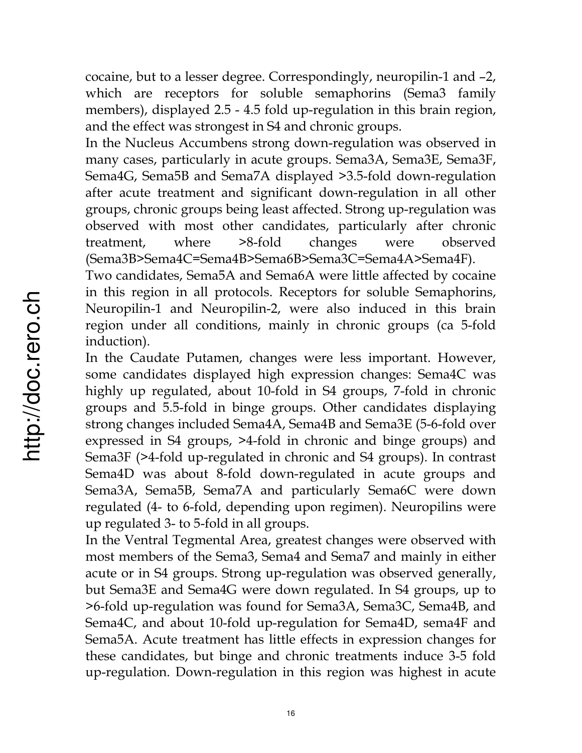cocaine, but to a lesser degree. Correspondingly, neuropilin-1 and –2, which are receptors for soluble semaphorins (Sema3 family members), displayed 2.5 - 4.5 fold up-regulation in this brain region, and the effect was strongest in S4 and chronic groups.

In the Nucleus Accumbens strong down-regulation was observed in many cases, particularly in acute groups. Sema3A, Sema3E, Sema3F, Sema4G, Sema5B and Sema7A displayed >3.5-fold down-regulation after acute treatment and significant down-regulation in all other groups, chronic groups being least affected. Strong up-regulation was observed with most other candidates, particularly after chronic treatment, where >8-fold changes were observed (Sema3B>Sema4C=Sema4B>Sema6B>Sema3C=Sema4A>Sema4F).

Two candidates, Sema5A and Sema6A were little affected by cocaine in this region in all protocols. Receptors for soluble Semaphorins, Neuropilin-1 and Neuropilin-2, were also induced in this brain region under all conditions, mainly in chronic groups (ca 5-fold induction).

In the Caudate Putamen, changes were less important. However, some candidates displayed high expression changes: Sema4C was highly up regulated, about 10-fold in S4 groups, 7-fold in chronic groups and 5.5-fold in binge groups. Other candidates displaying strong changes included Sema4A, Sema4B and Sema3E (5-6-fold over expressed in S4 groups, >4-fold in chronic and binge groups) and Sema3F (>4-fold up-regulated in chronic and S4 groups). In contrast Sema4D was about 8-fold down-regulated in acute groups and Sema3A, Sema5B, Sema7A and particularly Sema6C were down regulated (4- to 6-fold, depending upon regimen). Neuropilins were up regulated 3- to 5-fold in all groups.

In the Ventral Tegmental Area, greatest changes were observed with most members of the Sema3, Sema4 and Sema7 and mainly in either acute or in S4 groups. Strong up-regulation was observed generally, but Sema3E and Sema4G were down regulated. In S4 groups, up to >6-fold up-regulation was found for Sema3A, Sema3C, Sema4B, and Sema4C, and about 10-fold up-regulation for Sema4D, sema4F and Sema5A. Acute treatment has little effects in expression changes for these candidates, but binge and chronic treatments induce 3-5 fold up-regulation. Down-regulation in this region was highest in acute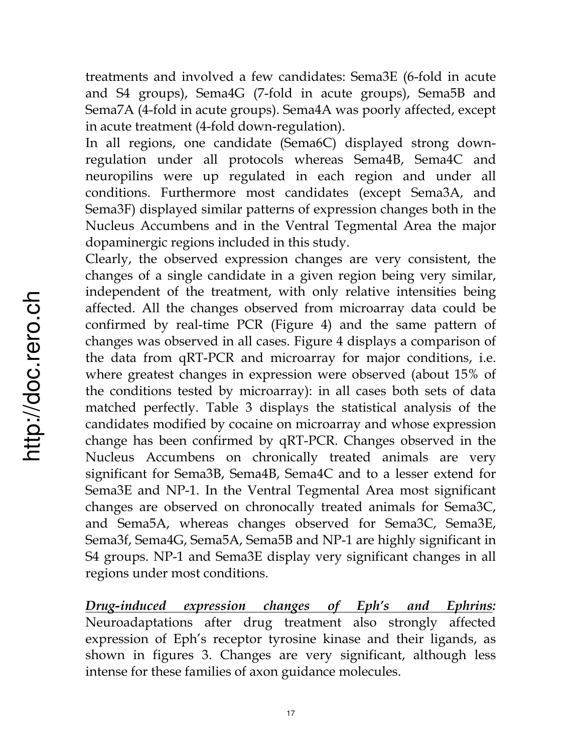treatments and involved a few candidates: Sema3E (6-fold in acute and S4 groups), Sema4G (7-fold in acute groups), Sema5B and Sema7A (4-fold in acute groups). Sema4A was poorly affected, except in acute treatment (4-fold down-regulation).

In all regions, one candidate (Sema6C) displayed strong downregulation under all protocols whereas Sema4B, Sema4C and neuropilins were up regulated in each region and under all conditions. Furthermore most candidates (except Sema3A, and Sema3F) displayed similar patterns of expression changes both in the Nucleus Accumbens and in the Ventral Tegmental Area the major dopaminergic regions included in this study.

Clearly, the observed expression changes are very consistent, the changes of a single candidate in a given region being very similar, independent of the treatment, with only relative intensities being affected. All the changes observed from microarray data could be confirmed by real-time PCR (Figure 4) and the same pattern of changes was observed in all cases. Figure 4 displays a comparison of the data from qRT-PCR and microarray for major conditions, i.e. where greatest changes in expression were observed (about 15% of the conditions tested by microarray): in all cases both sets of data matched perfectly. Table 3 displays the statistical analysis of the candidates modified by cocaine on microarray and whose expression change has been confirmed by qRT-PCR. Changes observed in the Nucleus Accumbens on chronically treated animals are very significant for Sema3B, Sema4B, Sema4C and to a lesser extend for Sema3E and NP-1. In the Ventral Tegmental Area most significant changes are observed on chronocally treated animals for Sema3C, and Sema5A, whereas changes observed for Sema3C, Sema3E, Sema3f, Sema4G, Sema5A, Sema5B and NP-1 are highly significant in S4 groups. NP-1 and Sema3E display very significant changes in all regions under most conditions.

*Drug-induced expression changes of Eph's and Ephrins:* Neuroadaptations after drug treatment also strongly affected expression of Eph's receptor tyrosine kinase and their ligands, as shown in figures 3. Changes are very significant, although less intense for these families of axon guidance molecules.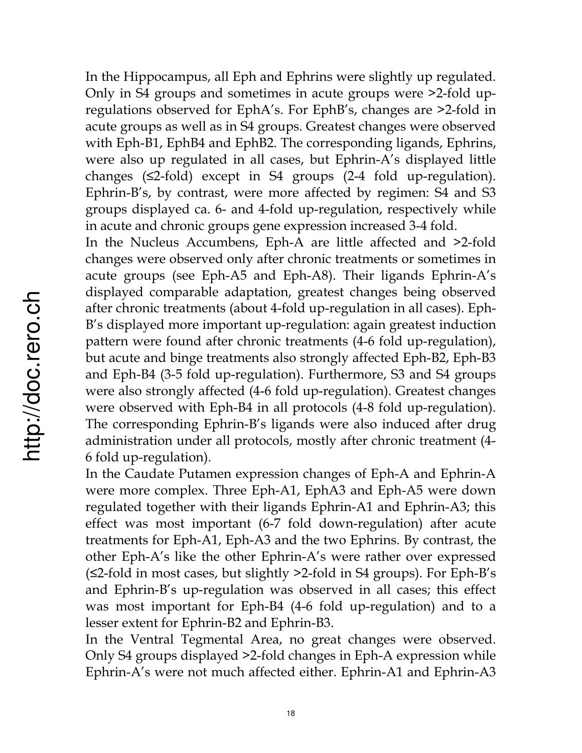In the Hippocampus, all Eph and Ephrins were slightly up regulated. Only in S4 groups and sometimes in acute groups were >2-fold upregulations observed for EphA's. For EphB's, changes are >2-fold in acute groups as well as in S4 groups. Greatest changes were observed with Eph-B1, EphB4 and EphB2. The corresponding ligands, Ephrins, were also up regulated in all cases, but Ephrin-A's displayed little changes  $(\leq2$ -fold) except in S4 groups  $(2-4$  fold up-regulation). Ephrin-B's, by contrast, were more affected by regimen: S4 and S3 groups displayed ca. 6- and 4-fold up-regulation, respectively while in acute and chronic groups gene expression increased 3-4 fold.

In the Nucleus Accumbens, Eph-A are little affected and >2-fold changes were observed only after chronic treatments or sometimes in acute groups (see Eph-A5 and Eph-A8). Their ligands Ephrin-A's displayed comparable adaptation, greatest changes being observed after chronic treatments (about 4-fold up-regulation in all cases). Eph-B's displayed more important up-regulation: again greatest induction pattern were found after chronic treatments (4-6 fold up-regulation), but acute and binge treatments also strongly affected Eph-B2, Eph-B3 and Eph-B4 (3-5 fold up-regulation). Furthermore, S3 and S4 groups were also strongly affected (4-6 fold up-regulation). Greatest changes were observed with Eph-B4 in all protocols (4-8 fold up-regulation). The corresponding Ephrin-B's ligands were also induced after drug administration under all protocols, mostly after chronic treatment (4- 6 fold up-regulation).

In the Caudate Putamen expression changes of Eph-A and Ephrin-A were more complex. Three Eph-A1, EphA3 and Eph-A5 were down regulated together with their ligands Ephrin-A1 and Ephrin-A3; this effect was most important (6-7 fold down-regulation) after acute treatments for Eph-A1, Eph-A3 and the two Ephrins. By contrast, the other Eph-A's like the other Ephrin-A's were rather over expressed  $(S2$ -fold in most cases, but slightly  $>2$ -fold in S4 groups). For Eph-B's and Ephrin-B's up-regulation was observed in all cases; this effect was most important for Eph-B4 (4-6 fold up-regulation) and to a lesser extent for Ephrin-B2 and Ephrin-B3.

In the Ventral Tegmental Area, no great changes were observed. Only S4 groups displayed >2-fold changes in Eph-A expression while Ephrin-A's were not much affected either. Ephrin-A1 and Ephrin-A3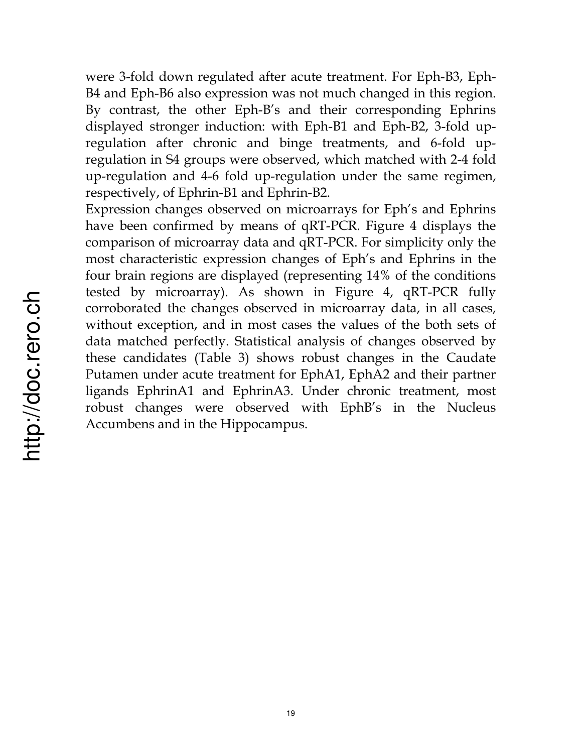were 3-fold down regulated after acute treatment. For Eph-B3, Eph-B4 and Eph-B6 also expression was not much changed in this region. By contrast, the other Eph-B's and their corresponding Ephrins displayed stronger induction: with Eph-B1 and Eph-B2, 3-fold upregulation after chronic and binge treatments, and 6-fold upregulation in S4 groups were observed, which matched with 2-4 fold up-regulation and 4-6 fold up-regulation under the same regimen, respectively, of Ephrin-B1 and Ephrin-B2.

Expression changes observed on microarrays for Eph's and Ephrins have been confirmed by means of qRT-PCR. Figure 4 displays the comparison of microarray data and qRT-PCR. For simplicity only the most characteristic expression changes of Eph's and Ephrins in the four brain regions are displayed (representing 14% of the conditions tested by microarray). As shown in Figure 4, qRT-PCR fully corroborated the changes observed in microarray data, in all cases, without exception, and in most cases the values of the both sets of data matched perfectly. Statistical analysis of changes observed by these candidates (Table 3) shows robust changes in the Caudate Putamen under acute treatment for EphA1, EphA2 and their partner ligands EphrinA1 and EphrinA3. Under chronic treatment, most robust changes were observed with EphB's in the Nucleus Accumbens and in the Hippocampus.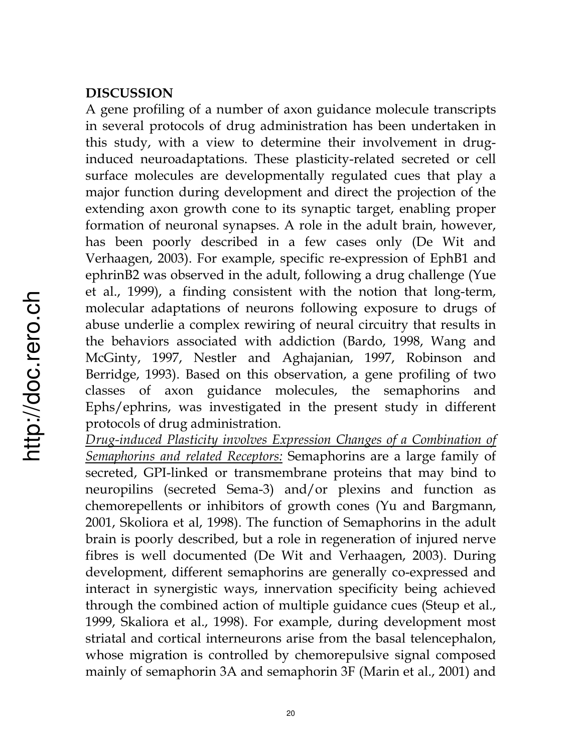#### **DISCUSSION**

A gene profiling of a number of axon guidance molecule transcripts in several protocols of drug administration has been undertaken in this study, with a view to determine their involvement in druginduced neuroadaptations. These plasticity-related secreted or cell surface molecules are developmentally regulated cues that play a major function during development and direct the projection of the extending axon growth cone to its synaptic target, enabling proper formation of neuronal synapses. A role in the adult brain, however, has been poorly described in a few cases only (De Wit and Verhaagen, 2003). For example, specific re-expression of EphB1 and ephrinB2 was observed in the adult, following a drug challenge (Yue et al., 1999), a finding consistent with the notion that long-term, molecular adaptations of neurons following exposure to drugs of abuse underlie a complex rewiring of neural circuitry that results in the behaviors associated with addiction (Bardo, 1998, Wang and McGinty, 1997, Nestler and Aghajanian, 1997, Robinson and Berridge, 1993). Based on this observation, a gene profiling of two classes of axon guidance molecules, the semaphorins and Ephs/ephrins, was investigated in the present study in different protocols of drug administration.

*Drug-induced Plasticity involves Expression Changes of a Combination of Semaphorins and related Receptors:* Semaphorins are a large family of secreted, GPI-linked or transmembrane proteins that may bind to neuropilins (secreted Sema-3) and/or plexins and function as chemorepellents or inhibitors of growth cones (Yu and Bargmann, 2001, Skoliora et al, 1998). The function of Semaphorins in the adult brain is poorly described, but a role in regeneration of injured nerve fibres is well documented (De Wit and Verhaagen, 2003). During development, different semaphorins are generally co-expressed and interact in synergistic ways, innervation specificity being achieved through the combined action of multiple guidance cues (Steup et al., 1999, Skaliora et al., 1998). For example, during development most striatal and cortical interneurons arise from the basal telencephalon, whose migration is controlled by chemorepulsive signal composed mainly of semaphorin 3A and semaphorin 3F (Marin et al., 2001) and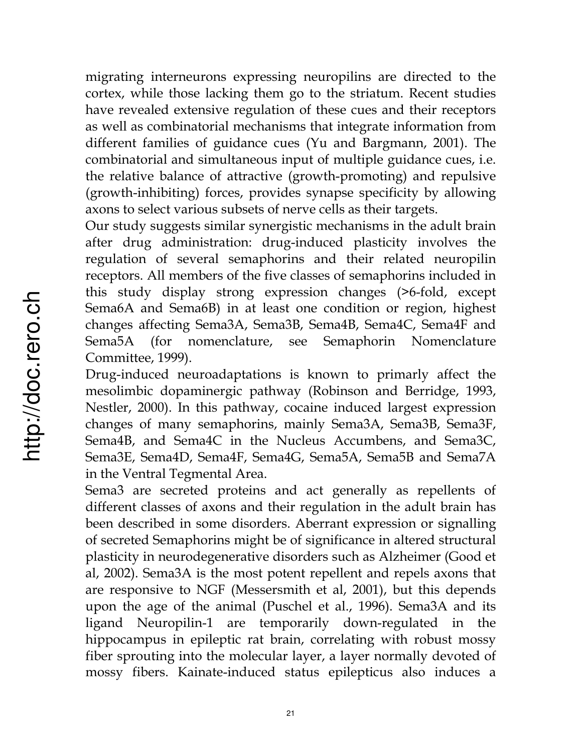migrating interneurons expressing neuropilins are directed to the cortex, while those lacking them go to the striatum. Recent studies have revealed extensive regulation of these cues and their receptors as well as combinatorial mechanisms that integrate information from different families of guidance cues (Yu and Bargmann, 2001). The combinatorial and simultaneous input of multiple guidance cues, i.e. the relative balance of attractive (growth-promoting) and repulsive (growth-inhibiting) forces, provides synapse specificity by allowing axons to select various subsets of nerve cells as their targets.

Our study suggests similar synergistic mechanisms in the adult brain after drug administration: drug-induced plasticity involves the regulation of several semaphorins and their related neuropilin receptors. All members of the five classes of semaphorins included in this study display strong expression changes (>6-fold, except Sema6A and Sema6B) in at least one condition or region, highest changes affecting Sema3A, Sema3B, Sema4B, Sema4C, Sema4F and Sema5A (for nomenclature, see Semaphorin Nomenclature Committee, 1999).

Drug-induced neuroadaptations is known to primarly affect the mesolimbic dopaminergic pathway (Robinson and Berridge, 1993, Nestler, 2000). In this pathway, cocaine induced largest expression changes of many semaphorins, mainly Sema3A, Sema3B, Sema3F, Sema4B, and Sema4C in the Nucleus Accumbens, and Sema3C, Sema3E, Sema4D, Sema4F, Sema4G, Sema5A, Sema5B and Sema7A in the Ventral Tegmental Area.

Sema3 are secreted proteins and act generally as repellents of different classes of axons and their regulation in the adult brain has been described in some disorders. Aberrant expression or signalling of secreted Semaphorins might be of significance in altered structural plasticity in neurodegenerative disorders such as Alzheimer (Good et al, 2002). Sema3A is the most potent repellent and repels axons that are responsive to NGF (Messersmith et al, 2001), but this depends upon the age of the animal (Puschel et al., 1996). Sema3A and its ligand Neuropilin-1 are temporarily down-regulated in the hippocampus in epileptic rat brain, correlating with robust mossy fiber sprouting into the molecular layer, a layer normally devoted of mossy fibers. Kainate-induced status epilepticus also induces a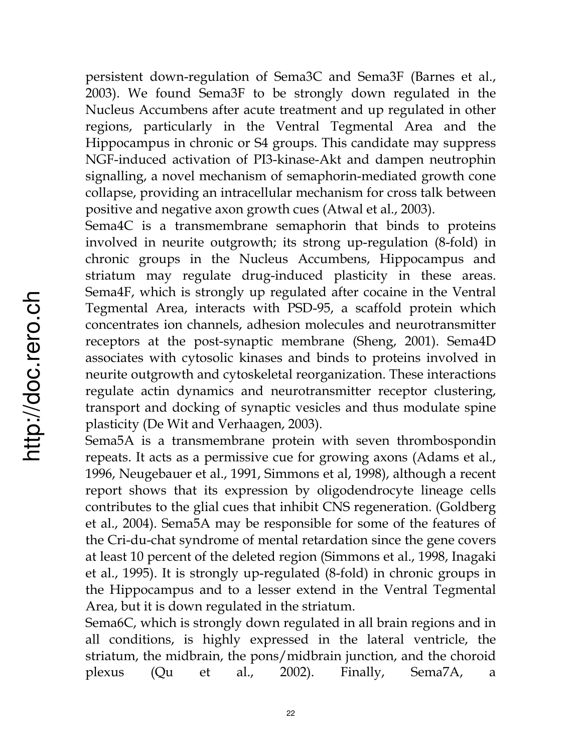persistent down-regulation of Sema3C and Sema3F (Barnes et al., 2003). We found Sema3F to be strongly down regulated in the Nucleus Accumbens after acute treatment and up regulated in other regions, particularly in the Ventral Tegmental Area and the Hippocampus in chronic or S4 groups. This candidate may suppress NGF-induced activation of PI3-kinase-Akt and dampen neutrophin signalling, a novel mechanism of semaphorin-mediated growth cone collapse, providing an intracellular mechanism for cross talk between positive and negative axon growth cues (Atwal et al., 2003).

Sema4C is a transmembrane semaphorin that binds to proteins involved in neurite outgrowth; its strong up-regulation (8-fold) in chronic groups in the Nucleus Accumbens, Hippocampus and striatum may regulate drug-induced plasticity in these areas. Sema4F, which is strongly up regulated after cocaine in the Ventral Tegmental Area, interacts with PSD-95, a scaffold protein which concentrates ion channels, adhesion molecules and neurotransmitter receptors at the post-synaptic membrane (Sheng, 2001). Sema4D associates with cytosolic kinases and binds to proteins involved in neurite outgrowth and cytoskeletal reorganization. These interactions regulate actin dynamics and neurotransmitter receptor clustering, transport and docking of synaptic vesicles and thus modulate spine plasticity (De Wit and Verhaagen, 2003).

Sema5A is a transmembrane protein with seven thrombospondin repeats. It acts as a permissive cue for growing axons (Adams et al., 1996, Neugebauer et al., 1991, Simmons et al, 1998), although a recent report shows that its expression by oligodendrocyte lineage cells contributes to the glial cues that inhibit CNS regeneration. (Goldberg et al., 2004). Sema5A may be responsible for some of the features of the Cri-du-chat syndrome of mental retardation since the gene covers at least 10 percent of the deleted region (Simmons et al., 1998, Inagaki et al., 1995). It is strongly up-regulated (8-fold) in chronic groups in the Hippocampus and to a lesser extend in the Ventral Tegmental Area, but it is down regulated in the striatum.

Sema6C, which is strongly down regulated in all brain regions and in all conditions, is highly expressed in the lateral ventricle, the striatum, the midbrain, the pons/midbrain junction, and the choroid plexus (Qu et al., 2002). Finally, Sema7A, a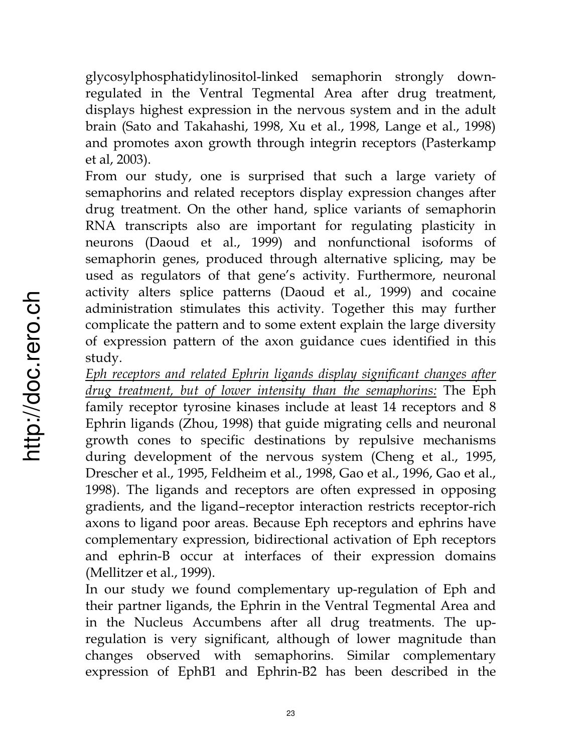glycosylphosphatidylinositol-linked semaphorin strongly downregulated in the Ventral Tegmental Area after drug treatment, displays highest expression in the nervous system and in the adult brain (Sato and Takahashi, 1998, Xu et al., 1998, Lange et al., 1998) and promotes axon growth through integrin receptors (Pasterkamp et al, 2003).

From our study, one is surprised that such a large variety of semaphorins and related receptors display expression changes after drug treatment. On the other hand, splice variants of semaphorin RNA transcripts also are important for regulating plasticity in neurons (Daoud et al., 1999) and nonfunctional isoforms of semaphorin genes, produced through alternative splicing, may be used as regulators of that gene's activity. Furthermore, neuronal activity alters splice patterns (Daoud et al., 1999) and cocaine administration stimulates this activity. Together this may further complicate the pattern and to some extent explain the large diversity of expression pattern of the axon guidance cues identified in this study.

*Eph receptors and related Ephrin ligands display significant changes after drug treatment, but of lower intensity than the semaphorins:* The Eph family receptor tyrosine kinases include at least 14 receptors and 8 Ephrin ligands (Zhou, 1998) that guide migrating cells and neuronal growth cones to specific destinations by repulsive mechanisms during development of the nervous system (Cheng et al., 1995, Drescher et al., 1995, Feldheim et al., 1998, Gao et al., 1996, Gao et al., 1998). The ligands and receptors are often expressed in opposing gradients, and the ligand–receptor interaction restricts receptor-rich axons to ligand poor areas. Because Eph receptors and ephrins have complementary expression, bidirectional activation of Eph receptors and ephrin-B occur at interfaces of their expression domains (Mellitzer et al., 1999).

In our study we found complementary up-regulation of Eph and their partner ligands, the Ephrin in the Ventral Tegmental Area and in the Nucleus Accumbens after all drug treatments. The upregulation is very significant, although of lower magnitude than changes observed with semaphorins. Similar complementary expression of EphB1 and Ephrin-B2 has been described in the

23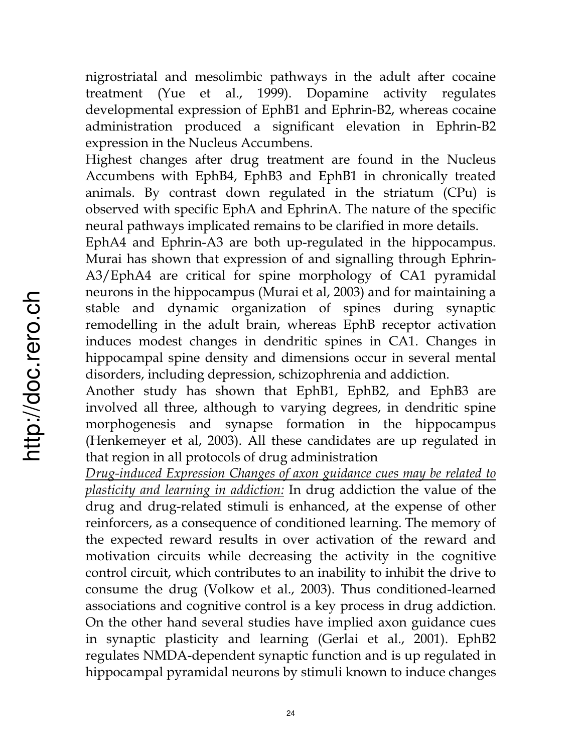nigrostriatal and mesolimbic pathways in the adult after cocaine treatment (Yue et al., 1999). Dopamine activity regulates developmental expression of EphB1 and Ephrin-B2, whereas cocaine administration produced a significant elevation in Ephrin-B2 expression in the Nucleus Accumbens.

Highest changes after drug treatment are found in the Nucleus Accumbens with EphB4, EphB3 and EphB1 in chronically treated animals. By contrast down regulated in the striatum (CPu) is observed with specific EphA and EphrinA. The nature of the specific neural pathways implicated remains to be clarified in more details.

EphA4 and Ephrin-A3 are both up-regulated in the hippocampus. Murai has shown that expression of and signalling through Ephrin-A3/EphA4 are critical for spine morphology of CA1 pyramidal neurons in the hippocampus (Murai et al, 2003) and for maintaining a stable and dynamic organization of spines during synaptic remodelling in the adult brain, whereas EphB receptor activation induces modest changes in dendritic spines in CA1. Changes in hippocampal spine density and dimensions occur in several mental disorders, including depression, schizophrenia and addiction.

Another study has shown that EphB1, EphB2, and EphB3 are involved all three, although to varying degrees, in dendritic spine morphogenesis and synapse formation in the hippocampus (Henkemeyer et al, 2003). All these candidates are up regulated in that region in all protocols of drug administration

*Drug-induced Expression Changes of axon guidance cues may be related to plasticity and learning in addiction:* In drug addiction the value of the drug and drug-related stimuli is enhanced, at the expense of other reinforcers, as a consequence of conditioned learning. The memory of the expected reward results in over activation of the reward and motivation circuits while decreasing the activity in the cognitive control circuit, which contributes to an inability to inhibit the drive to consume the drug (Volkow et al., 2003). Thus conditioned-learned associations and cognitive control is a key process in drug addiction. On the other hand several studies have implied axon guidance cues in synaptic plasticity and learning (Gerlai et al., 2001). EphB2 regulates NMDA-dependent synaptic function and is up regulated in hippocampal pyramidal neurons by stimuli known to induce changes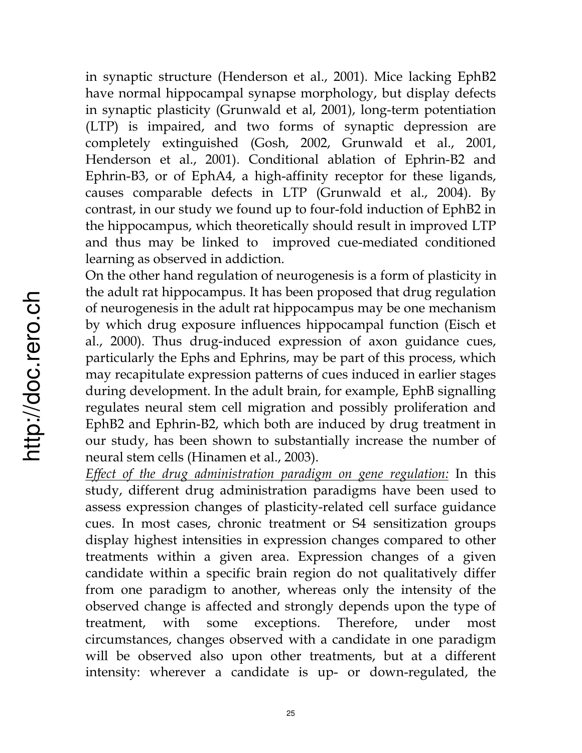in synaptic structure (Henderson et al., 2001). Mice lacking EphB2 have normal hippocampal synapse morphology, but display defects in synaptic plasticity (Grunwald et al, 2001), long-term potentiation (LTP) is impaired, and two forms of synaptic depression are completely extinguished (Gosh, 2002, Grunwald et al., 2001, Henderson et al., 2001). Conditional ablation of Ephrin-B2 and Ephrin-B3, or of EphA4, a high-affinity receptor for these ligands, causes comparable defects in LTP (Grunwald et al., 2004). By contrast, in our study we found up to four-fold induction of EphB2 in the hippocampus, which theoretically should result in improved LTP and thus may be linked to improved cue-mediated conditioned learning as observed in addiction.

On the other hand regulation of neurogenesis is a form of plasticity in the adult rat hippocampus. It has been proposed that drug regulation of neurogenesis in the adult rat hippocampus may be one mechanism by which drug exposure influences hippocampal function (Eisch et al., 2000). Thus drug-induced expression of axon guidance cues, particularly the Ephs and Ephrins, may be part of this process, which may recapitulate expression patterns of cues induced in earlier stages during development. In the adult brain, for example, EphB signalling regulates neural stem cell migration and possibly proliferation and EphB2 and Ephrin-B2, which both are induced by drug treatment in our study, has been shown to substantially increase the number of neural stem cells (Hinamen et al., 2003).

*Effect of the drug administration paradigm on gene regulation:* In this study, different drug administration paradigms have been used to assess expression changes of plasticity-related cell surface guidance cues. In most cases, chronic treatment or S4 sensitization groups display highest intensities in expression changes compared to other treatments within a given area. Expression changes of a given candidate within a specific brain region do not qualitatively differ from one paradigm to another, whereas only the intensity of the observed change is affected and strongly depends upon the type of treatment, with some exceptions. Therefore, under most circumstances, changes observed with a candidate in one paradigm will be observed also upon other treatments, but at a different intensity: wherever a candidate is up- or down-regulated, the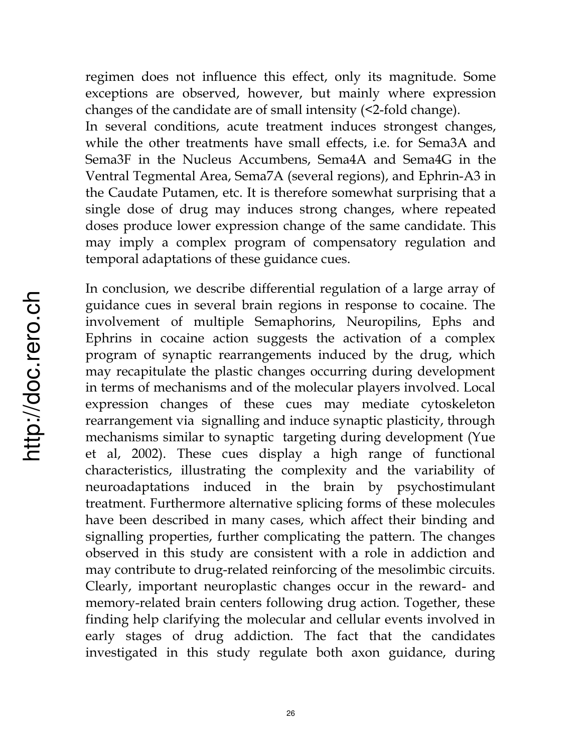regimen does not influence this effect, only its magnitude. Some exceptions are observed, however, but mainly where expression changes of the candidate are of small intensity (<2-fold change).

In several conditions, acute treatment induces strongest changes, while the other treatments have small effects, i.e. for Sema3A and Sema3F in the Nucleus Accumbens, Sema4A and Sema4G in the Ventral Tegmental Area, Sema7A (several regions), and Ephrin-A3 in the Caudate Putamen, etc. It is therefore somewhat surprising that a single dose of drug may induces strong changes, where repeated doses produce lower expression change of the same candidate. This may imply a complex program of compensatory regulation and temporal adaptations of these guidance cues.

In conclusion, we describe differential regulation of a large array of guidance cues in several brain regions in response to cocaine. The involvement of multiple Semaphorins, Neuropilins, Ephs and Ephrins in cocaine action suggests the activation of a complex program of synaptic rearrangements induced by the drug, which may recapitulate the plastic changes occurring during development in terms of mechanisms and of the molecular players involved. Local expression changes of these cues may mediate cytoskeleton rearrangement via signalling and induce synaptic plasticity, through mechanisms similar to synaptic targeting during development (Yue et al, 2002). These cues display a high range of functional characteristics, illustrating the complexity and the variability of neuroadaptations induced in the brain by psychostimulant treatment. Furthermore alternative splicing forms of these molecules have been described in many cases, which affect their binding and signalling properties, further complicating the pattern. The changes observed in this study are consistent with a role in addiction and may contribute to drug-related reinforcing of the mesolimbic circuits. Clearly, important neuroplastic changes occur in the reward- and memory-related brain centers following drug action. Together, these finding help clarifying the molecular and cellular events involved in early stages of drug addiction. The fact that the candidates investigated in this study regulate both axon guidance, during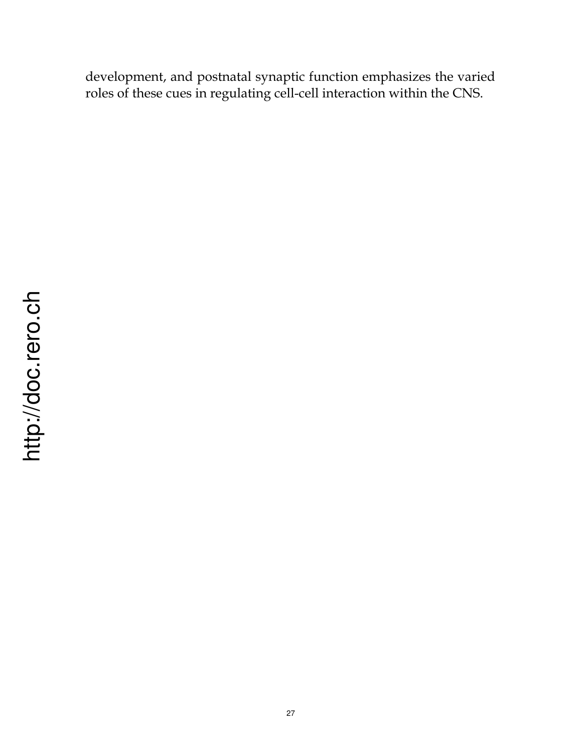development, and postnatal synaptic function emphasizes the varied roles of these cues in regulating cell-cell interaction within the CNS.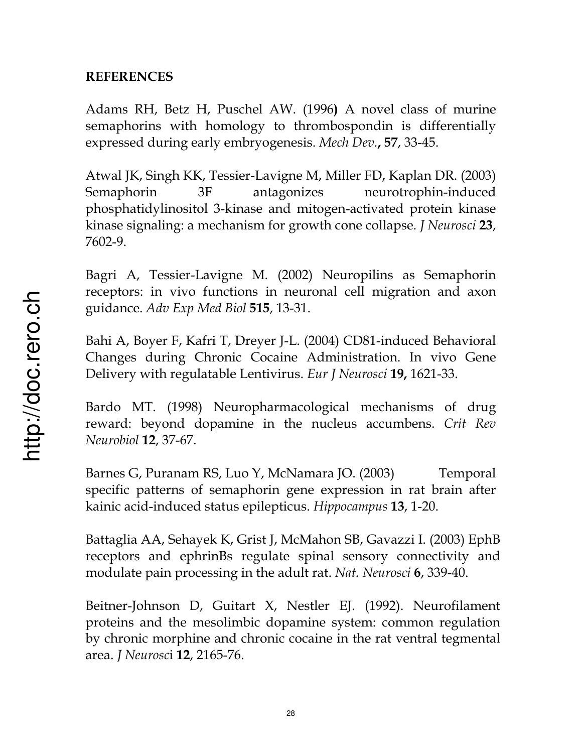## **REFERENCES**

Adams RH, Betz H, Puschel AW. (1996**)** A novel class of murine semaphorins with homology to thrombospondin is differentially expressed during early embryogenesis. *Mech Dev.***, 57**, 33-45.

Atwal JK, Singh KK, Tessier-Lavigne M, Miller FD, Kaplan DR. (2003) Semaphorin 3F antagonizes neurotrophin-induced phosphatidylinositol 3-kinase and mitogen-activated protein kinase kinase signaling: a mechanism for growth cone collapse. *J Neurosci* **23**, 7602-9.

Bagri A, Tessier-Lavigne M. (2002) Neuropilins as Semaphorin receptors: in vivo functions in neuronal cell migration and axon guidance. *Adv Exp Med Biol* **515**, 13-31.

Bahi A, Boyer F, Kafri T, Dreyer J-L. (2004) CD81-induced Behavioral Changes during Chronic Cocaine Administration. In vivo Gene Delivery with regulatable Lentivirus. *Eur J Neurosci* **19,** 1621-33.

Bardo MT. (1998) Neuropharmacological mechanisms of drug reward: beyond dopamine in the nucleus accumbens. *Crit Rev Neurobiol* **12**, 37-67.

Barnes G, Puranam RS, Luo Y, McNamara JO. (2003) Temporal specific patterns of semaphorin gene expression in rat brain after kainic acid-induced status epilepticus. *Hippocampus* **13**, 1-20.

Battaglia AA, Sehayek K, Grist J, McMahon SB, Gavazzi I. (2003) EphB receptors and ephrinBs regulate spinal sensory connectivity and modulate pain processing in the adult rat. *Nat. Neurosci* **6**, 339-40.

Beitner-Johnson D, Guitart X, Nestler EJ. (1992). Neurofilament proteins and the mesolimbic dopamine system: common regulation by chronic morphine and chronic cocaine in the rat ventral tegmental area. *J Neurosc*i **12**, 2165-76.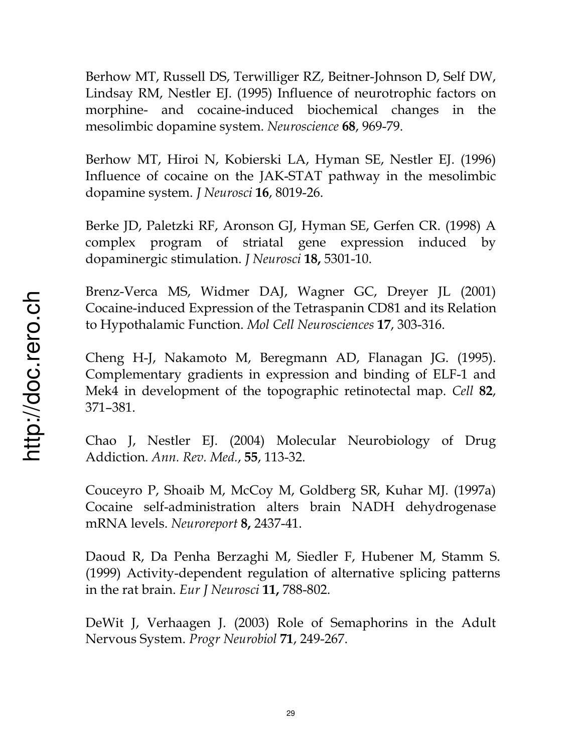Berhow MT, Russell DS, Terwilliger RZ, Beitner-Johnson D, Self DW, Lindsay RM, Nestler EJ. (1995) Influence of neurotrophic factors on morphine- and cocaine-induced biochemical changes in the mesolimbic dopamine system. *Neuroscience* **68**, 969-79.

Berhow MT, Hiroi N, Kobierski LA, Hyman SE, Nestler EJ. (1996) Influence of cocaine on the JAK-STAT pathway in the mesolimbic dopamine system. *J Neurosci* **16**, 8019-26.

Berke JD, Paletzki RF, Aronson GJ, Hyman SE, Gerfen CR. (1998) A complex program of striatal gene expression induced by dopaminergic stimulation. *J Neurosci* **18,** 5301-10.

Brenz-Verca MS, Widmer DAJ, Wagner GC, Dreyer JL (2001) Cocaine-induced Expression of the Tetraspanin CD81 and its Relation to Hypothalamic Function. *Mol Cell Neurosciences* **17**, 303-316.

Cheng H-J, Nakamoto M, Beregmann AD, Flanagan JG. (1995). Complementary gradients in expression and binding of ELF-1 and Mek4 in development of the topographic retinotectal map. *Cell* **82**, 371–381.

Chao J, Nestler EJ. (2004) Molecular Neurobiology of Drug Addiction. *Ann. Rev. Med.*, **55**, 113-32.

Couceyro P, Shoaib M, McCoy M, Goldberg SR, Kuhar MJ. (1997a) Cocaine self-administration alters brain NADH dehydrogenase mRNA levels. *Neuroreport* **8,** 2437-41.

Daoud R, Da Penha Berzaghi M, Siedler F, Hubener M, Stamm S. (1999) Activity-dependent regulation of alternative splicing patterns in the rat brain. *Eur J Neurosci* **11,** 788-802.

DeWit J, Verhaagen J. (2003) Role of Semaphorins in the Adult Nervous System. *Progr Neurobiol* **71**, 249-267.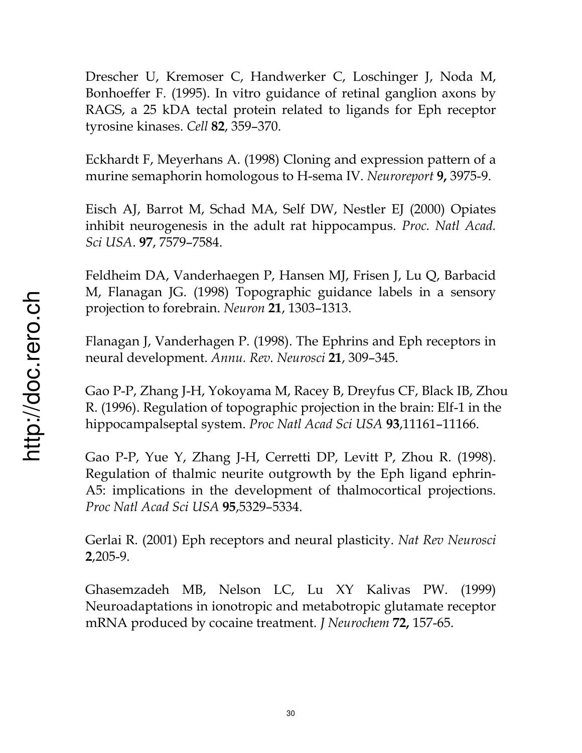Drescher U, Kremoser C, Handwerker C, Loschinger J, Noda M, Bonhoeffer F. (1995). In vitro guidance of retinal ganglion axons by RAGS, a 25 kDA tectal protein related to ligands for Eph receptor tyrosine kinases. *Cell* **82**, 359–370.

Eckhardt F, Meyerhans A. (1998) Cloning and expression pattern of a murine semaphorin homologous to H-sema IV. *Neuroreport* **9,** 3975-9.

Eisch AJ, Barrot M, Schad MA, Self DW, Nestler EJ (2000) Opiates inhibit neurogenesis in the adult rat hippocampus. *Proc. Natl Acad. Sci USA*. **97**, 7579–7584.

Feldheim DA, Vanderhaegen P, Hansen MJ, Frisen J, Lu Q, Barbacid M, Flanagan JG. (1998) Topographic guidance labels in a sensory projection to forebrain. *Neuron* **21**, 1303–1313.

Flanagan J, Vanderhagen P. (1998). The Ephrins and Eph receptors in neural development. *Annu. Rev. Neurosci* **21**, 309–345.

Gao P-P, Zhang J-H, Yokoyama M, Racey B, Dreyfus CF, Black IB, Zhou R. (1996). Regulation of topographic projection in the brain: Elf-1 in the hippocampalseptal system. *Proc Natl Acad Sci USA* **93**,11161–11166.

Gao P-P, Yue Y, Zhang J-H, Cerretti DP, Levitt P, Zhou R. (1998). Regulation of thalmic neurite outgrowth by the Eph ligand ephrin-A5: implications in the development of thalmocortical projections. *Proc Natl Acad Sci USA* **95**,5329–5334.

Gerlai R. (2001) Eph receptors and neural plasticity. *Nat Rev Neurosci* **2**,205-9.

Ghasemzadeh MB, Nelson LC, Lu XY Kalivas PW. (1999) Neuroadaptations in ionotropic and metabotropic glutamate receptor mRNA produced by cocaine treatment. *J Neurochem* **72,** 157-65.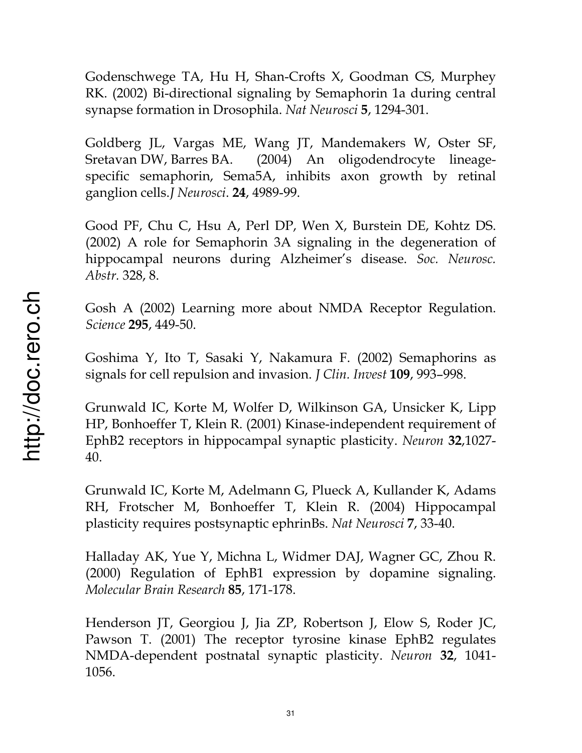Godenschwege TA, Hu H, Shan-Crofts X, Goodman CS, Murphey RK. (2002) Bi-directional signaling by Semaphorin 1a during central synapse formation in Drosophila. *Nat Neurosci* **5**, 1294-301.

Goldberg JL, Vargas ME, Wang JT, Mandemakers W, Oster SF, Sretavan DW, Barres BA. (2004) An oligodendrocyte lineagespecific semaphorin, Sema5A, inhibits axon growth by retinal ganglion cells.*J Neurosci*. **24**, 4989-99.

Good PF, Chu C, Hsu A, Perl DP, Wen X, Burstein DE, Kohtz DS. (2002) A role for Semaphorin 3A signaling in the degeneration of hippocampal neurons during Alzheimer's disease. *Soc. Neurosc. Abstr.* 328, 8.

Gosh A (2002) Learning more about NMDA Receptor Regulation. *Science* **295**, 449-50.

Goshima Y, Ito T, Sasaki Y, Nakamura F. (2002) Semaphorins as signals for cell repulsion and invasion. *J Clin. Invest* **109**, 993–998.

Grunwald IC, Korte M, Wolfer D, Wilkinson GA, Unsicker K, Lipp HP, Bonhoeffer T, Klein R. (2001) Kinase-independent requirement of EphB2 receptors in hippocampal synaptic plasticity. *Neuron* **32**,1027- 40.

Grunwald IC, Korte M, Adelmann G, Plueck A, Kullander K, Adams RH, Frotscher M, Bonhoeffer T, Klein R. (2004) Hippocampal plasticity requires postsynaptic ephrinBs. *Nat Neurosci* **7**, 33-40.

Halladay AK, Yue Y, Michna L, Widmer DAJ, Wagner GC, Zhou R. (2000) Regulation of EphB1 expression by dopamine signaling. *Molecular Brain Research* **85**, 171-178.

Henderson JT, Georgiou J, Jia ZP, Robertson J, Elow S, Roder JC, Pawson T. (2001) The receptor tyrosine kinase EphB2 regulates NMDA-dependent postnatal synaptic plasticity. *Neuron* **32**, 1041- 1056.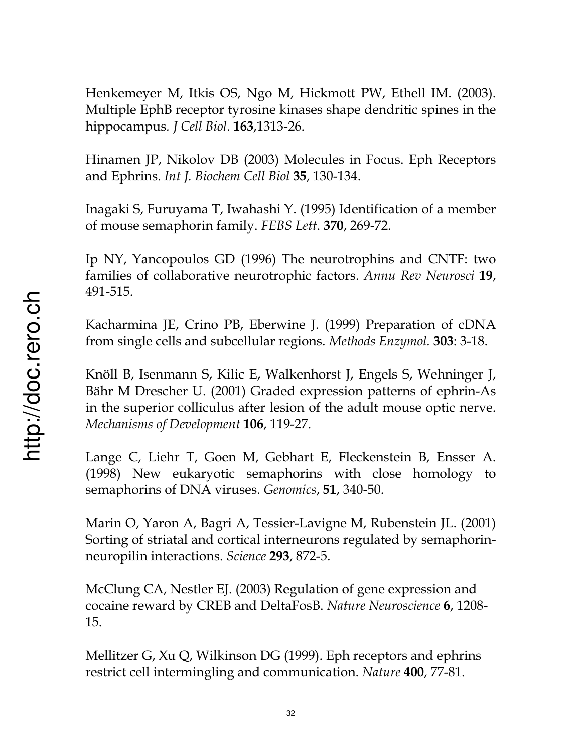Henkemeyer M, Itkis OS, Ngo M, Hickmott PW, Ethell IM. (2003). Multiple EphB receptor tyrosine kinases shape dendritic spines in the hippocampus*. J Cell Biol*. **163**,1313-26.

Hinamen JP, Nikolov DB (2003) Molecules in Focus. Eph Receptors and Ephrins. *Int J. Biochem Cell Biol* **35**, 130-134.

Inagaki S, Furuyama T, Iwahashi Y. (1995) Identification of a member of mouse semaphorin family. *FEBS Lett*. **370**, 269-72.

Ip NY, Yancopoulos GD (1996) The neurotrophins and CNTF: two families of collaborative neurotrophic factors. *Annu Rev Neurosci* **19**, 491-515.

Kacharmina JE, Crino PB, Eberwine J. (1999) Preparation of cDNA from single cells and subcellular regions. *Methods Enzymol.* **303**: 3-18.

Knöll B, Isenmann S, Kilic E, Walkenhorst J, Engels S, Wehninger J, Bähr M Drescher U. (2001) Graded expression patterns of ephrin-As in the superior colliculus after lesion of the adult mouse optic nerve. *Mechanisms of Development* **106**, 119-27.

Lange C, Liehr T, Goen M, Gebhart E, Fleckenstein B, Ensser A. (1998) New eukaryotic semaphorins with close homology to semaphorins of DNA viruses. *Genomics*, **51**, 340-50.

Marin O, Yaron A, Bagri A, Tessier-Lavigne M, Rubenstein JL. (2001) Sorting of striatal and cortical interneurons regulated by semaphorinneuropilin interactions. *Science* **293**, 872-5.

McClung CA, Nestler EJ. (2003) Regulation of gene expression and cocaine reward by CREB and DeltaFosB. *Nature Neuroscience* **6**, 1208- 15.

Mellitzer G, Xu Q, Wilkinson DG (1999). Eph receptors and ephrins restrict cell intermingling and communication. *Nature* **400**, 77-81.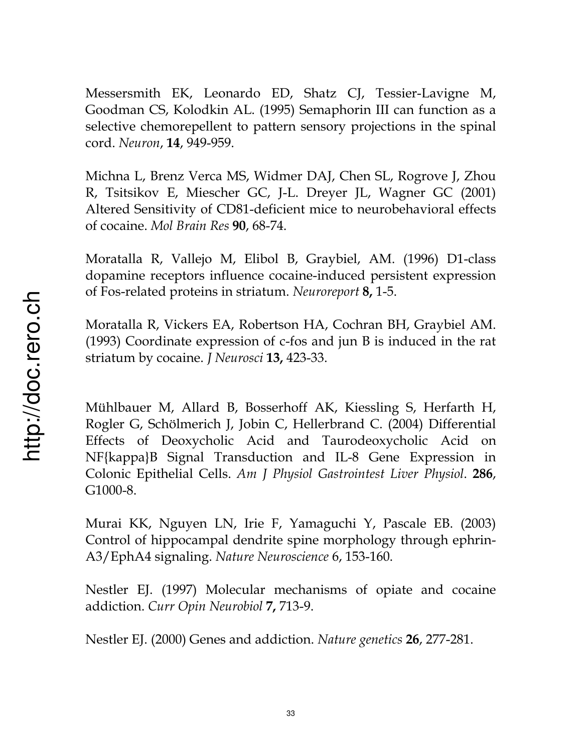Messersmith EK, Leonardo ED, Shatz CJ, Tessier-Lavigne M, Goodman CS, Kolodkin AL. (1995) Semaphorin III can function as a selective chemorepellent to pattern sensory projections in the spinal cord. *Neuron*, **14**, 949-959.

Michna L, Brenz Verca MS, Widmer DAJ, Chen SL, Rogrove J, Zhou R, Tsitsikov E, Miescher GC, J-L. Dreyer JL, Wagner GC (2001) Altered Sensitivity of CD81-deficient mice to neurobehavioral effects of cocaine. *Mol Brain Res* **90**, 68-74.

Moratalla R, Vallejo M, Elibol B, Graybiel, AM. (1996) D1-class dopamine receptors influence cocaine-induced persistent expression of Fos-related proteins in striatum. *Neuroreport* **8,** 1-5.

Moratalla R, Vickers EA, Robertson HA, Cochran BH, Graybiel AM. (1993) Coordinate expression of c-fos and jun B is induced in the rat striatum by cocaine. *J Neurosci* **13,** 423-33.

Mühlbauer M, Allard B, Bosserhoff AK, Kiessling S, Herfarth H, Rogler G, Schölmerich J, Jobin C, Hellerbrand C. (2004) Differential Effects of Deoxycholic Acid and Taurodeoxycholic Acid on NF{kappa}B Signal Transduction and IL-8 Gene Expression in Colonic Epithelial Cells. *Am J Physiol Gastrointest Liver Physiol*. **286**, G1000-8.

Murai KK, Nguyen LN, Irie F, Yamaguchi Y, Pascale EB. (2003) Control of hippocampal dendrite spine morphology through ephrin-A3/EphA4 signaling. *Nature Neuroscience* 6, 153-160.

Nestler EJ. (1997) Molecular mechanisms of opiate and cocaine addiction. *Curr Opin Neurobiol* **7,** 713-9.

Nestler EJ. (2000) Genes and addiction. *Nature genetics* **26**, 277-281.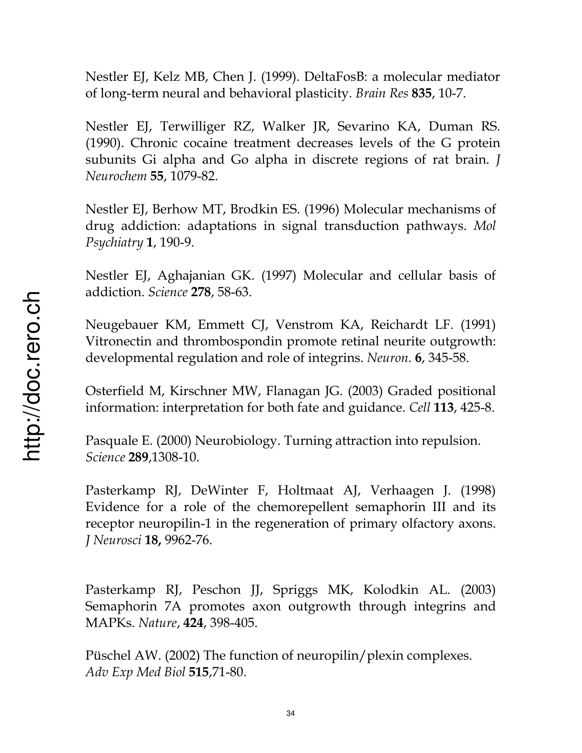Nestler EJ, Kelz MB, Chen J. (1999). DeltaFosB: a molecular mediator of long-term neural and behavioral plasticity. *Brain Res* **835**, 10-7.

Nestler EJ, Terwilliger RZ, Walker JR, Sevarino KA, Duman RS. (1990). Chronic cocaine treatment decreases levels of the G protein subunits Gi alpha and Go alpha in discrete regions of rat brain. *J Neurochem* **55**, 1079-82.

Nestler EJ, Berhow MT, Brodkin ES. (1996) Molecular mechanisms of drug addiction: adaptations in signal transduction pathways. *Mol Psychiatry* **1**, 190-9.

Nestler EJ, Aghajanian GK. (1997) Molecular and cellular basis of addiction. *Science* **278**, 58-63.

Neugebauer KM, Emmett CJ, Venstrom KA, Reichardt LF. (1991) Vitronectin and thrombospondin promote retinal neurite outgrowth: developmental regulation and role of integrins. *Neuron*. **6**, 345-58.

Osterfield M, Kirschner MW, Flanagan JG. (2003) Graded positional information: interpretation for both fate and guidance. *Cell* **113**, 425-8.

Pasquale E. (2000) Neurobiology. Turning attraction into repulsion. *Science* **289**,1308-10.

Pasterkamp RJ, DeWinter F, Holtmaat AJ, Verhaagen J. (1998) Evidence for a role of the chemorepellent semaphorin III and its receptor neuropilin-1 in the regeneration of primary olfactory axons. *J Neurosci* **18,** 9962-76.

Pasterkamp RJ, Peschon JJ, Spriggs MK, Kolodkin AL. (2003) Semaphorin 7A promotes axon outgrowth through integrins and MAPKs. *Nature*, **424**, 398-405.

Püschel AW. (2002) The function of neuropilin/plexin complexes. *Adv Exp Med Biol* **515**,71-80.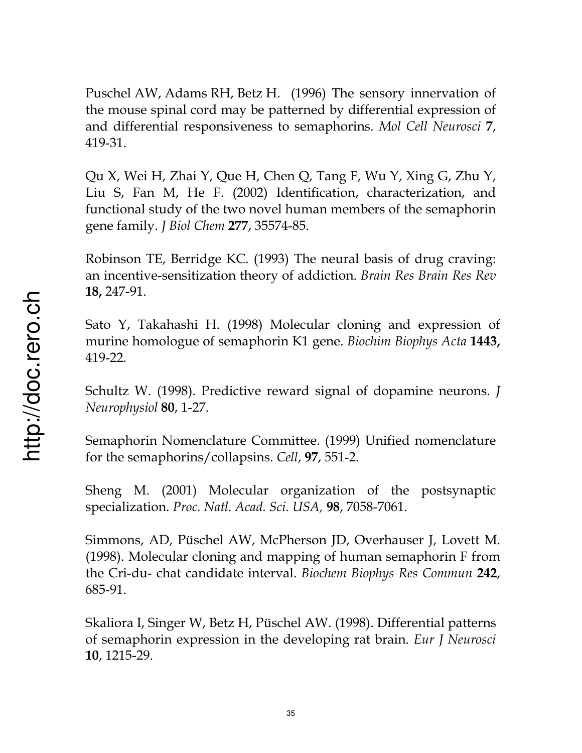Puschel AW, Adams RH, Betz H. (1996) The sensory innervation of the mouse spinal cord may be patterned by differential expression of and differential responsiveness to semaphorins. *Mol Cell Neurosci* **7**, 419-31.

Qu X, Wei H, Zhai Y, Que H, Chen Q, Tang F, Wu Y, Xing G, Zhu Y, Liu S, Fan M, He F. (2002) Identification, characterization, and functional study of the two novel human members of the semaphorin gene family. *J Biol Chem* **277**, 35574-85.

Robinson TE, Berridge KC. (1993) The neural basis of drug craving: an incentive-sensitization theory of addiction. *Brain Res Brain Res Rev*  **18,** 247-91.

Sato Y, Takahashi H. (1998) Molecular cloning and expression of murine homologue of semaphorin K1 gene. *Biochim Biophys Acta* **1443,** 419-22.

Schultz W. (1998). Predictive reward signal of dopamine neurons. *J Neurophysiol* **80**, 1-27.

Semaphorin Nomenclature Committee. (1999) Unified nomenclature for the semaphorins/collapsins. *Cell*, **97**, 551-2.

Sheng M. (2001) Molecular organization of the postsynaptic specialization. *Proc. Natl. Acad. Sci. USA,* **98**, 7058-7061.

Simmons, AD, Püschel AW, McPherson JD, Overhauser J, Lovett M. (1998). Molecular cloning and mapping of human semaphorin F from the Cri-du- chat candidate interval. *Biochem Biophys Res Commun* **242**, 685-91.

Skaliora I, Singer W, Betz H, Püschel AW. (1998). Differential patterns of semaphorin expression in the developing rat brain. *Eur J Neurosci* **10**, 1215-29.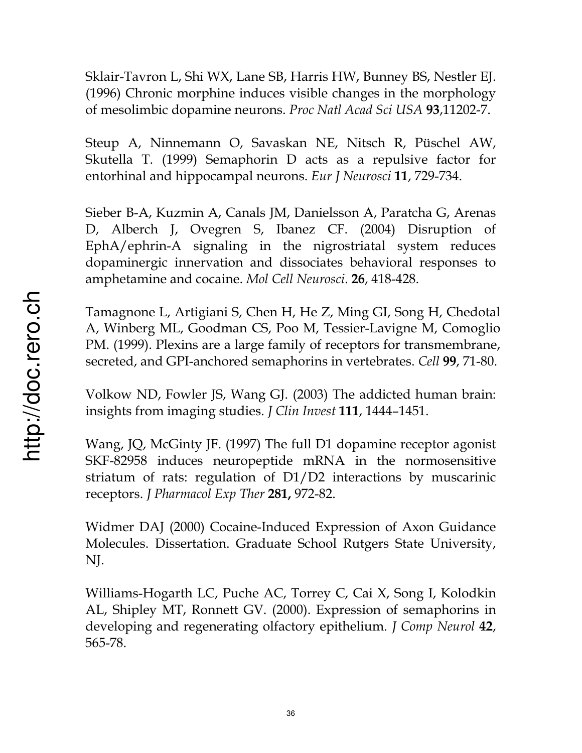Sklair-Tavron L, Shi WX, Lane SB, Harris HW, Bunney BS, Nestler EJ. (1996) Chronic morphine induces visible changes in the morphology of mesolimbic dopamine neurons. *Proc Natl Acad Sci USA* **93**,11202-7.

Steup A, Ninnemann O, Savaskan NE, Nitsch R, Püschel AW, Skutella T. (1999) Semaphorin D acts as a repulsive factor for entorhinal and hippocampal neurons. *Eur J Neurosci* **11**, 729-734.

Sieber B-A, Kuzmin A, Canals JM, Danielsson A, Paratcha G, Arenas D, Alberch J, Ovegren S, Ibanez CF. (2004) Disruption of EphA/ephrin-A signaling in the nigrostriatal system reduces dopaminergic innervation and dissociates behavioral responses to amphetamine and cocaine. *Mol Cell Neurosci*. **26**, 418-428.

Tamagnone L, Artigiani S, Chen H, He Z, Ming GI, Song H, Chedotal A, Winberg ML, Goodman CS, Poo M, Tessier-Lavigne M, Comoglio PM. (1999). Plexins are a large family of receptors for transmembrane, secreted, and GPI-anchored semaphorins in vertebrates. *Cell* **99**, 71-80.

Volkow ND, Fowler JS, Wang GJ. (2003) The addicted human brain: insights from imaging studies. *J Clin Invest* **111**, 1444–1451.

Wang, JQ, McGinty JF. (1997) The full D1 dopamine receptor agonist SKF-82958 induces neuropeptide mRNA in the normosensitive striatum of rats: regulation of D1/D2 interactions by muscarinic receptors. *J Pharmacol Exp Ther* **281,** 972-82.

Widmer DAJ (2000) Cocaine-Induced Expression of Axon Guidance Molecules. Dissertation. Graduate School Rutgers State University, NJ.

Williams-Hogarth LC, Puche AC, Torrey C, Cai X, Song I, Kolodkin AL, Shipley MT, Ronnett GV. (2000). Expression of semaphorins in developing and regenerating olfactory epithelium. *J Comp Neurol* **42**, 565-78.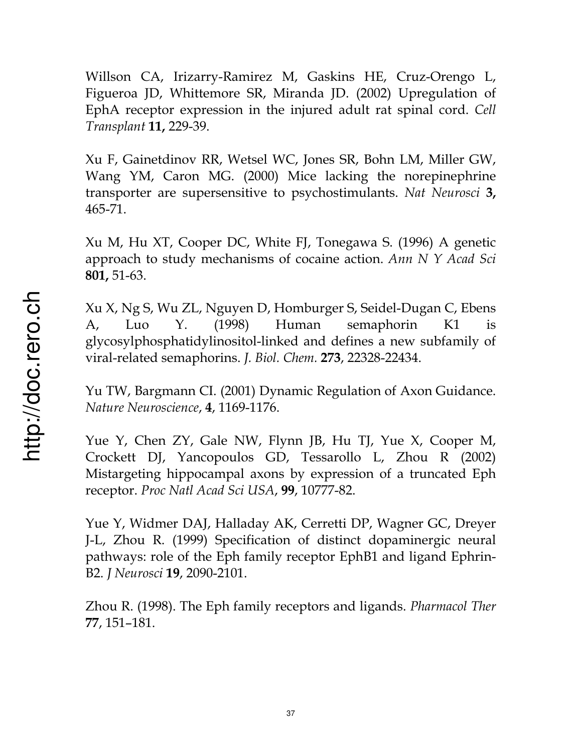Willson CA, Irizarry-Ramirez M, Gaskins HE, Cruz-Orengo L, Figueroa JD, Whittemore SR, Miranda JD. (2002) Upregulation of EphA receptor expression in the injured adult rat spinal cord. *Cell Transplant* **11,** 229-39.

Xu F, Gainetdinov RR, Wetsel WC, Jones SR, Bohn LM, Miller GW, Wang YM, Caron MG. (2000) Mice lacking the norepinephrine transporter are supersensitive to psychostimulants. *Nat Neurosci* **3,**  465-71.

Xu M, Hu XT, Cooper DC, White FJ, Tonegawa S. (1996) A genetic approach to study mechanisms of cocaine action. *Ann N Y Acad Sci*  **801,** 51-63.

Xu X, Ng S, Wu ZL, Nguyen D, Homburger S, Seidel-Dugan C, Ebens A, Luo Y. (1998) Human semaphorin K1 is glycosylphosphatidylinositol-linked and defines a new subfamily of viral-related semaphorins. *J. Biol. Chem.* **273**, 22328-22434.

Yu TW, Bargmann CI. (2001) Dynamic Regulation of Axon Guidance. *Nature Neuroscience*, **4**, 1169-1176.

Yue Y, Chen ZY, Gale NW, Flynn JB, Hu TJ, Yue X, Cooper M, Crockett DJ, Yancopoulos GD, Tessarollo L, Zhou R (2002) Mistargeting hippocampal axons by expression of a truncated Eph receptor. *Proc Natl Acad Sci USA*, **99**, 10777-82.

Yue Y, Widmer DAJ, Halladay AK, Cerretti DP, Wagner GC, Dreyer J-L, Zhou R. (1999) Specification of distinct dopaminergic neural pathways: role of the Eph family receptor EphB1 and ligand Ephrin-B2. *J Neurosci* **19**, 2090-2101.

Zhou R. (1998). The Eph family receptors and ligands. *Pharmacol Ther*  **77**, 151–181.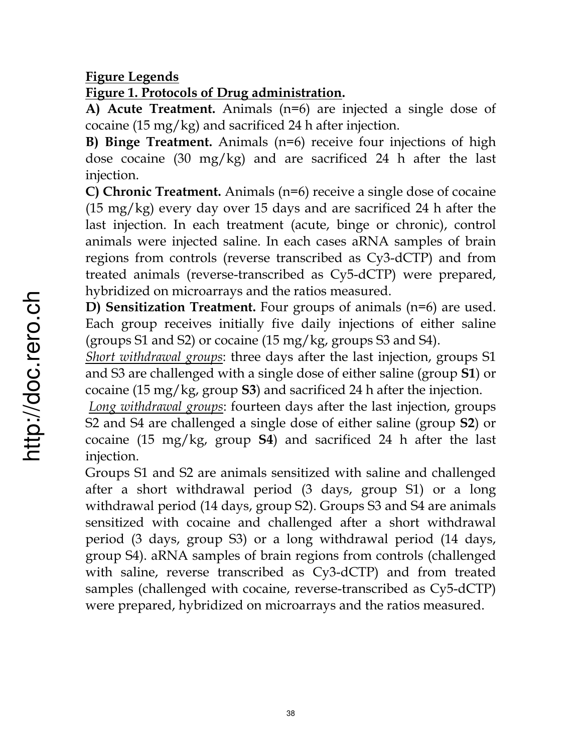### **Figure Legends**

## **Figure 1. Protocols of Drug administration.**

**A) Acute Treatment.** Animals (n=6) are injected a single dose of cocaine (15 mg/kg) and sacrificed 24 h after injection.

**B) Binge Treatment.** Animals (n=6) receive four injections of high dose cocaine (30 mg/kg) and are sacrificed 24 h after the last injection.

**C) Chronic Treatment.** Animals (n=6) receive a single dose of cocaine (15 mg/kg) every day over 15 days and are sacrificed 24 h after the last injection. In each treatment (acute, binge or chronic), control animals were injected saline. In each cases aRNA samples of brain regions from controls (reverse transcribed as Cy3-dCTP) and from treated animals (reverse-transcribed as Cy5-dCTP) were prepared, hybridized on microarrays and the ratios measured.

**D) Sensitization Treatment.** Four groups of animals (n=6) are used. Each group receives initially five daily injections of either saline (groups S1 and S2) or cocaine (15 mg/kg, groups S3 and S4).

*Short withdrawal groups*: three days after the last injection, groups S1 and S3 are challenged with a single dose of either saline (group **S1**) or cocaine (15 mg/kg, group **S3**) and sacrificed 24 h after the injection.

*Long withdrawal groups*: fourteen days after the last injection, groups S2 and S4 are challenged a single dose of either saline (group **S2**) or cocaine (15 mg/kg, group **S4**) and sacrificed 24 h after the last injection.

Groups S1 and S2 are animals sensitized with saline and challenged after a short withdrawal period (3 days, group S1) or a long withdrawal period (14 days, group S2). Groups S3 and S4 are animals sensitized with cocaine and challenged after a short withdrawal period (3 days, group S3) or a long withdrawal period (14 days, group S4). aRNA samples of brain regions from controls (challenged with saline, reverse transcribed as Cy3-dCTP) and from treated samples (challenged with cocaine, reverse-transcribed as Cy5-dCTP) were prepared, hybridized on microarrays and the ratios measured.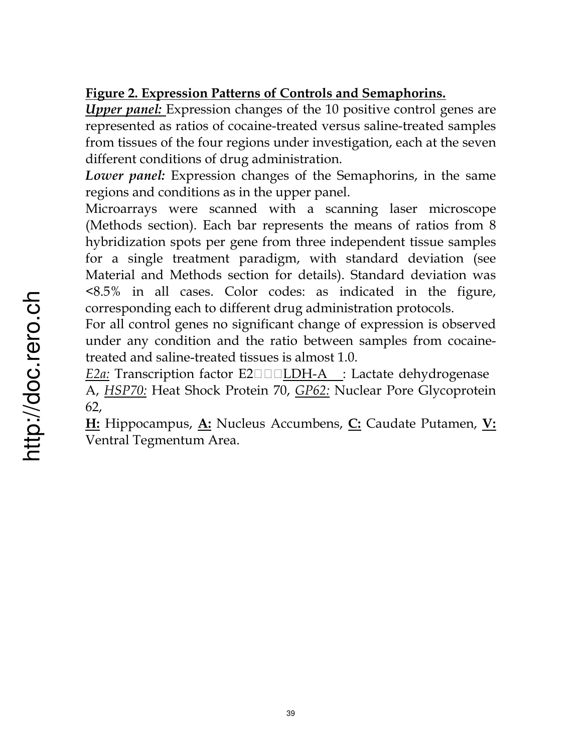# **Figure 2. Expression Patterns of Controls and Semaphorins.**

*Upper panel:* Expression changes of the 10 positive control genes are represented as ratios of cocaine-treated versus saline-treated samples from tissues of the four regions under investigation, each at the seven different conditions of drug administration.

*Lower panel:* Expression changes of the Semaphorins, in the same regions and conditions as in the upper panel.

Microarrays were scanned with a scanning laser microscope (Methods section). Each bar represents the means of ratios from 8 hybridization spots per gene from three independent tissue samples for a single treatment paradigm, with standard deviation (see Material and Methods section for details). Standard deviation was <8.5% in all cases. Color codes: as indicated in the figure, corresponding each to different drug administration protocols.

For all control genes no significant change of expression is observed under any condition and the ratio between samples from cocainetreated and saline-treated tissues is almost 1.0.

*E2a:* Transcription factor E2□□□LDH-A \_: Lactate dehydrogenase A, *HSP70:* Heat Shock Protein 70, *GP62:* Nuclear Pore Glycoprotein 62,

**H:** Hippocampus, **A:** Nucleus Accumbens, **C:** Caudate Putamen, **V:** Ventral Tegmentum Area.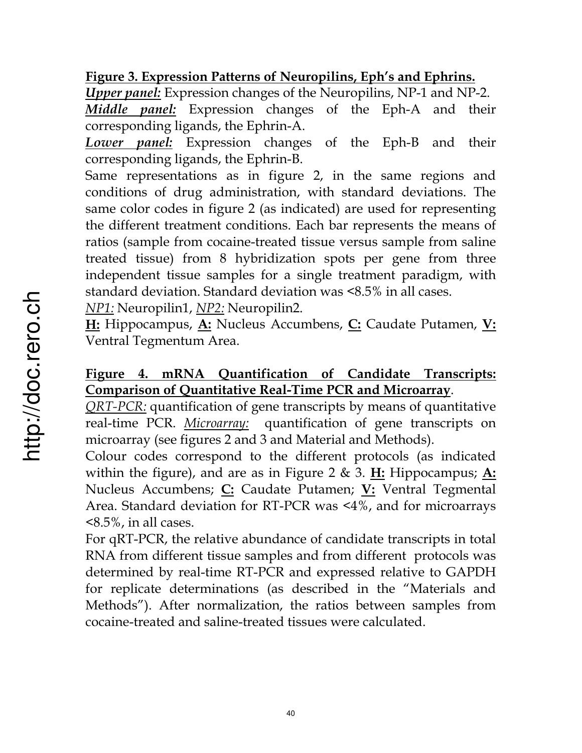## **Figure 3. Expression Patterns of Neuropilins, Eph's and Ephrins.**

*Upper panel:* Expression changes of the Neuropilins, NP-1 and NP-2.

*Middle panel:* Expression changes of the Eph-A and their corresponding ligands, the Ephrin-A.

*Lower panel:* Expression changes of the Eph-B and their corresponding ligands, the Ephrin-B.

Same representations as in figure 2, in the same regions and conditions of drug administration, with standard deviations. The same color codes in figure 2 (as indicated) are used for representing the different treatment conditions. Each bar represents the means of ratios (sample from cocaine-treated tissue versus sample from saline treated tissue) from 8 hybridization spots per gene from three independent tissue samples for a single treatment paradigm, with standard deviation. Standard deviation was <8.5% in all cases.

*NP1:* Neuropilin1, *NP2:* Neuropilin2.

**H:** Hippocampus, **A:** Nucleus Accumbens, **C:** Caudate Putamen, **V:** Ventral Tegmentum Area.

## **Figure 4. mRNA Quantification of Candidate Transcripts: Comparison of Quantitative Real-Time PCR and Microarray**.

*QRT-PCR:* quantification of gene transcripts by means of quantitative real-time PCR. *Microarray:* quantification of gene transcripts on microarray (see figures 2 and 3 and Material and Methods).

Colour codes correspond to the different protocols (as indicated within the figure), and are as in Figure 2 & 3. **H:** Hippocampus; **A:** Nucleus Accumbens; **C:** Caudate Putamen; **V:** Ventral Tegmental Area. Standard deviation for RT-PCR was <4%, and for microarrays <8.5%, in all cases.

For qRT-PCR, the relative abundance of candidate transcripts in total RNA from different tissue samples and from different protocols was determined by real-time RT-PCR and expressed relative to GAPDH for replicate determinations (as described in the "Materials and Methods"). After normalization, the ratios between samples from cocaine-treated and saline-treated tissues were calculated.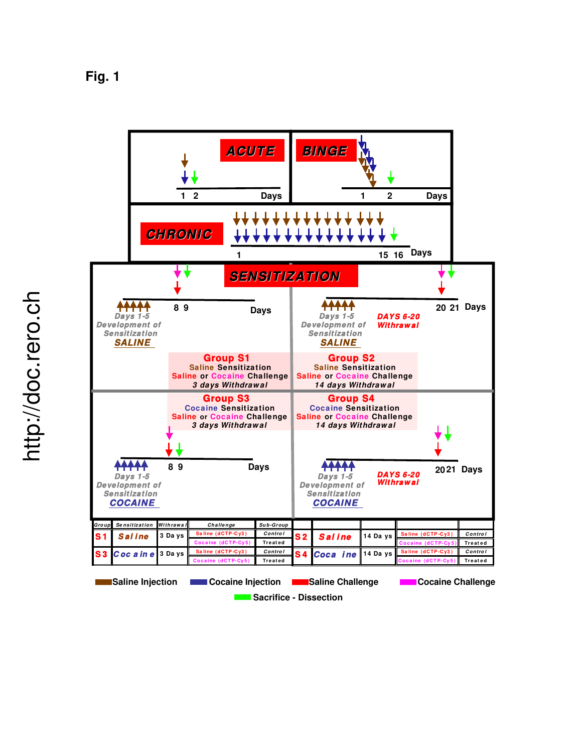**Fig. 1** 



**Sacrifice - Dissection**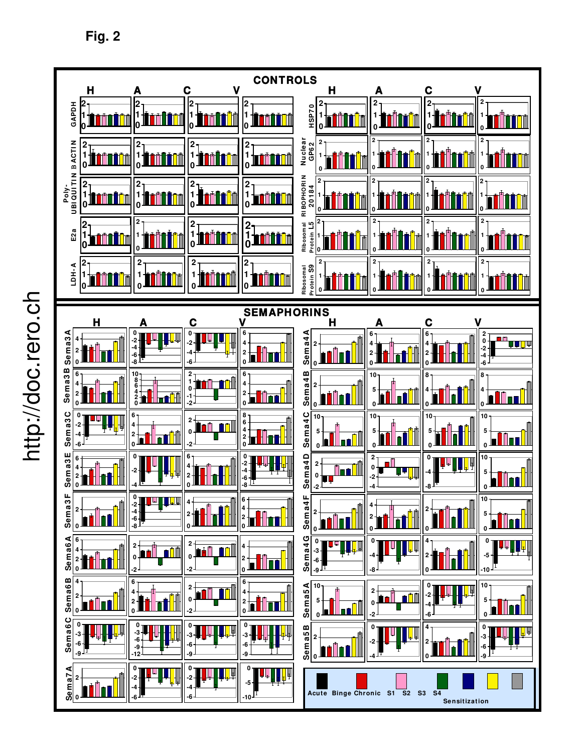http://doc.rero.ch http://doc.rero.ch



**Fig. 2**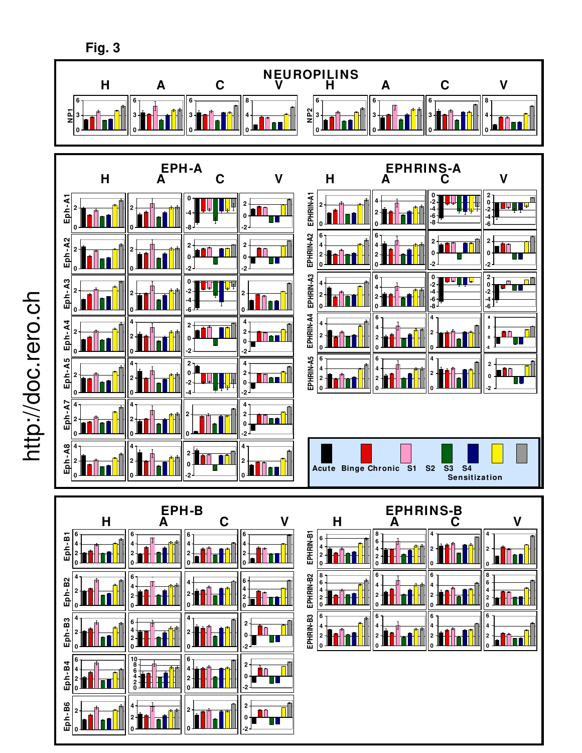

http://doc.rero.ch http://doc.rero.ch **Fig. 3**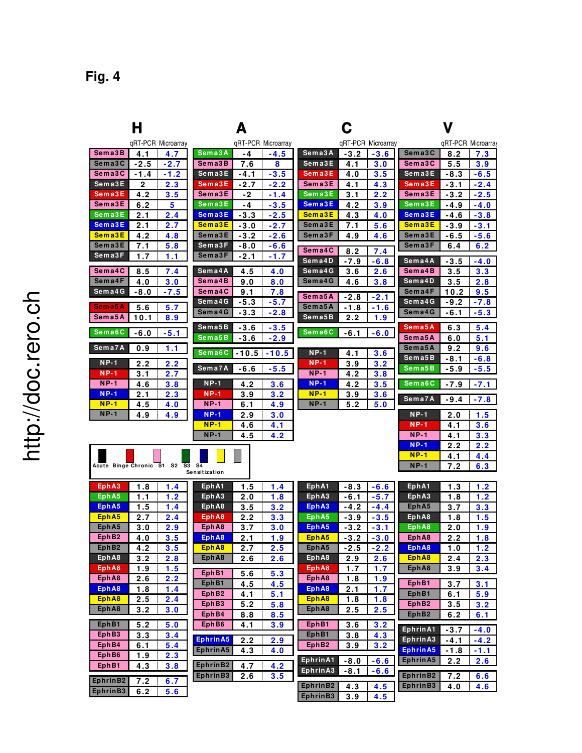|                                 | Н            |                    |                       | Д                     |                       |                       |            |                    | V                                                                        |        |        |  |  |  |  |
|---------------------------------|--------------|--------------------|-----------------------|-----------------------|-----------------------|-----------------------|------------|--------------------|--------------------------------------------------------------------------|--------|--------|--|--|--|--|
|                                 |              | gRT-PCR Microarray |                       |                       | qRT-PCR Microarray    |                       |            | qRT-PCR Microarray | qRT-PCR Microarray                                                       |        |        |  |  |  |  |
| Sema3B                          | 4.1          | 4.7                | Sema3A                | -4                    | -4.5                  | Sema3A                | -3.2       | $-3.6$             | Sema3C                                                                   | 8.2    | 7.3    |  |  |  |  |
| Sema3C                          | $-2.5$       | $-2.7$             | Sema3B                | 7.6                   | 8                     | Sema3E                | 4.1        | 3.0                | Sema3C                                                                   | 5.5    | 3.9    |  |  |  |  |
| Sema3C                          | -1.4         | -1.2               | Sema3E                | -4.1                  | $-3.5$                | Sema3E                | 4.0        | 3.5                | Sema3E                                                                   | $-8.3$ | -6.5   |  |  |  |  |
| Sema3E                          | $\mathbf{2}$ | 2.3                | Sema3E                | -2.7                  | -2.2                  | Sema3E                | 4.1        | 4.3                | Sema3E                                                                   | -3.1   | $-2.4$ |  |  |  |  |
| Sema3E                          | 4.2          | 3.5                | Sema3E                | $-2$                  | -1.4                  | Sema3E                | 3.1        | 2.2                | Sema3E                                                                   | -3.2   | $-2.5$ |  |  |  |  |
| Sema3E                          | 6.2          | 5                  | Sema3E                | -4                    | $-3.5$                | Sema3E                | 4.2        | 3.9                | Sema3E                                                                   | -4.9   | $-4.0$ |  |  |  |  |
| Sema3E                          | 2.1          | 2.4                | Sema3E                | $-3.3$                | $-2.5$                | Sema3E                | 4.3        | 4.0                | Sema3E                                                                   | -4.6   | $-3.8$ |  |  |  |  |
| Sema3E                          | 2.1          | 2.7                | Sema3E                | $-3.0$                | -2.7                  | Sema3E                | 7.1        | 5.6                | Sema3E                                                                   | $-3.9$ | $-3.1$ |  |  |  |  |
| Sema3E                          | 4.2          | 4.8                | Sema3E                | -3.2                  | $-2.6$                | Sema3F                | 4.9        | 4.6                | Sema3E                                                                   | -6.5   | -5.6   |  |  |  |  |
| Sema3E                          | 7.1          | 5.8                | Sema3F                | -8.0                  | -6.6                  | Sema4C                | 8.2        | 7.4                | Sema3F                                                                   | 6.4    | 6.2    |  |  |  |  |
| Sema3F                          | 1.7          | 1.1                | Sema3F                | -2.1                  | -1.7                  | Sema4D                | -7.9       | $-6.8$             | Sema4A                                                                   | $-3.5$ | $-4.0$ |  |  |  |  |
| Sema4C                          | 8.5          | 7.4                | Sema4A                | 4.5                   | 4.0                   | Sema4G                | 3.6        | 2.6                | Sema4B                                                                   | 3.5    | 3.3    |  |  |  |  |
| Sema4F                          | 4.0          | 3.0                | Sema4B                | 9.0                   | 8.0                   | Sema4G                | 4.6        | 3.8                | Sema4D                                                                   | 3.5    | 2.8    |  |  |  |  |
| Sema4G                          | $-8.0$       | $-7.5$             | Sema4C                | 9.1                   | 7.8                   | Sema5A                | -2.8       | $-2.1$             | Sema4F                                                                   | 10.2   | 9.5    |  |  |  |  |
| Sema5A                          | 5.6          | 5.7                | Sema4G                | -5.3                  | $-5.7$                | Sema5A                | -1.8       | -1.6               | Sema4G                                                                   | $-9.2$ | $-7.8$ |  |  |  |  |
| Sema5A                          | 10.1         | 8.9                | Sema4G                | $-3.3$                | $-2.8$                | Sema5B                | 2.2        | 1.9                | Sema4G                                                                   | $-6.1$ | $-5.3$ |  |  |  |  |
|                                 |              |                    | Sema5B                | $-3.6$                | -3.5                  |                       |            |                    | Sem a 5 A                                                                | 6.3    | 5.4    |  |  |  |  |
| Sema6C                          | $-6.0$       | $-5.1$             | Sema5B                | $-3.6$                | $-2.9$                | Sema6C                | $-6.1$     | $-6.0$             | Sema5A                                                                   | 6.0    | 5.1    |  |  |  |  |
| Sema7A                          | 0.9          | 1.1                |                       |                       |                       |                       |            |                    | Sema5A                                                                   | 9.2    | 9.6    |  |  |  |  |
|                                 |              |                    | Sema6C                | $-10.5$               | $-10.5$               | <b>NP-1</b>           | 4.1        | 3.6                | Sema5B                                                                   | $-8.1$ | $-6.8$ |  |  |  |  |
| $NP-1$                          | 2.2          | 2.2                | Sema7A                | -6.6                  | $-5.5$                | $NP-1$                | 3.9        | 3.2                | Sem a 5 B                                                                | $-5.9$ | -5.5   |  |  |  |  |
| $NP-1$<br>$NP-1$                | 3.1          | 2.7                | $NP-1$                |                       |                       | <b>NP-1</b><br>$NP-1$ | 4.2        | 3.8                | Sema6C                                                                   |        |        |  |  |  |  |
| $NP-1$                          | 4.6          | 3.8                | $NP-1$                | 4.2                   | 3.6                   | $NP-1$                | 4.2        | 3.5                |                                                                          | -7.9   | $-7.1$ |  |  |  |  |
| $NP-1$                          | 2.1<br>4.5   | 2.3<br>4.0         | <b>NP-1</b>           | 3.9<br>6.1            | 3.2<br>4.9            | $NP-1$                | 3.9<br>5.2 | 3.6<br>5.0         | Sema7A                                                                   | $-9.4$ | $-7.8$ |  |  |  |  |
| $NP-1$                          | 4.9          | 4.9                | $NP-1$                | 2.9                   | 3.0                   |                       |            |                    | $NP-1$                                                                   | 2.0    | 1.5    |  |  |  |  |
|                                 |              |                    | $NP-1$                | 4.6                   | 4.1                   |                       |            |                    | $NP-1$                                                                   | 4.1    | 3.6    |  |  |  |  |
|                                 |              |                    | $NP-1$                | 4.5                   | 4.2                   |                       |            |                    | <b>NP-1</b>                                                              | 4.1    | 3.3    |  |  |  |  |
|                                 |              |                    |                       |                       |                       |                       |            |                    | $NP-1$                                                                   | 2.2    | 2.2    |  |  |  |  |
|                                 |              |                    |                       |                       |                       |                       |            |                    | $NP-1$                                                                   | 4.1    | 4.4    |  |  |  |  |
| Acute Binge Chronic S1 S2 S3 S4 |              |                    |                       |                       |                       |                       |            |                    | $NP-1$                                                                   | 7.2    | 6.3    |  |  |  |  |
|                                 |              |                    | Sensitization         |                       |                       |                       |            |                    |                                                                          |        |        |  |  |  |  |
| EphA3                           | 1.8          | 1.4                | EphA1                 | 1.5                   | 1.4                   | EphA1                 | -8.3       | $-6.6$             | EphA1                                                                    | 1.3    | 1.2    |  |  |  |  |
| EphA5                           | 1.1          | 1.2                | EphA3                 | 2.0                   | 1.8                   | EphA3                 | -6.1       | $-5.7$             | Eph <sub>A3</sub>                                                        | 1.8    | 1.2    |  |  |  |  |
| Eph A5                          | 1.5          | 1.4                | EphA8                 | 3.5                   | 3.2                   | EphA3                 | $-4.2$     | $-4.4$             | Eph <sub>A5</sub>                                                        | 3.7    | 3.3    |  |  |  |  |
| Eph <sub>A5</sub>               | 2.7          | 2.4                | Eph A8                | 2.2                   | 3.3                   | EphA5                 | $-3.9$     | $-3.5$             | EphA8                                                                    | 1.8    | 1.5    |  |  |  |  |
| Eph <sub>A5</sub>               | 3.0          | 2.9                | EphA8                 | 3.7                   | 3.0                   | EphA5                 | -3.2       | -3.1               | EphA8                                                                    | 2.0    | 1.9    |  |  |  |  |
| EphB <sub>2</sub>               | 4.0          | 3.5                | EphA8                 | 2.1                   | 1.9                   | EphA5                 | -3.2       | $-3.0$             | Eph A8                                                                   | 2.2    | 1.8    |  |  |  |  |
| EphB <sub>2</sub>               | 4.2          | 3.5                | EphA8                 | 2.7                   | 2.5                   | EphA5                 | -2.5       | $-2.2$             | EphA8                                                                    | 1.0    | 1.2    |  |  |  |  |
| EphA8                           | 3.2          | 2.8                | EphA8                 | 2.6                   | 2.6                   | EphA8                 | 2.9        | 2.6                | EphA8                                                                    | 2.4    | 2.3    |  |  |  |  |
| EphA8                           | 1.9          | 1.5                | EphB1                 | 5.6                   | 5.3                   | EphA8                 | 1.7        | 1.7                | EphA8                                                                    | 3.9    | 3.4    |  |  |  |  |
| EphA8                           | 2.6          | 2.2                | EphB1                 | 4.5                   | 4.5                   | EphA8                 | 1.8        | 1.9                | EphB1                                                                    | 3.7    | 3.1    |  |  |  |  |
| EphA8                           | 1.8          | 1.4                | EphB2                 | 4.1                   | 5.1                   | EphA8<br>EphA8        | 2.1        | 1.7                | EphB1                                                                    | 6.1    | 5.9    |  |  |  |  |
| EphA8                           | 2.5          | 2.4                | EphB3                 | 5.2                   | 5.8                   |                       | 1.8        | 1.8                | EphB <sub>2</sub>                                                        | 3.5    | 3.2    |  |  |  |  |
| EphA8                           | 3.2          | 3.0                | EphB4                 | 8.8                   | 8.5                   | EphA8                 | 2.5        | 2.5                | EphB <sub>2</sub>                                                        | 6.2    | 6.1    |  |  |  |  |
| EphB1                           | <u>5.2</u>   | 5.0                | EphB <sub>6</sub>     | 4.1                   | <u>3.9</u>            | EphB1                 | 3.6        | 3.2                | Ephrin A1                                                                | $-3.7$ | $-4.0$ |  |  |  |  |
| EphB3                           | 3.3          | 3.4                | EphrinA5              | 2.2                   | 2.9                   | EphB1                 | 3.8        | 4.3                | EphrinA3                                                                 | $-4.1$ | $-4.2$ |  |  |  |  |
| EphB4                           | 6.1          | 5.4                | EphrinA5              | 4.3                   | 4.0                   | EphB2                 | 3.9        | 3.2                | EphrinA5                                                                 | $-1.8$ | -1.1   |  |  |  |  |
| EphB6                           | 1.9          | 2.3                |                       |                       |                       | Ephrin A1             | $-8.0$     | $-6.6$             | Ephrin A5                                                                | 2.2    | 2.6    |  |  |  |  |
| EphB1                           | 4.3          | 3.8                | EphrinB2<br>Enhrin 22 | 4.7<br>$\overline{a}$ | 4.2<br>$\overline{a}$ | Ephrin A3             | -8.1       | $-6.6$             | $Fphr$ in P <sub>2</sub> $\rightarrow$ 0 $\rightarrow$ 0 $\rightarrow$ 0 |        |        |  |  |  |  |

**3 .9 4 .5 6 .2 5 .6 EphrinB2**

 $\frac{1}{2.6}$ 

**EphrinB3**

**7 .2 6 .7**

**EphrinB2**

**EphrinB3**

**2 .6 3 .5**

**EphrinB3**

**EphrinB3 4 .0 4 .6**

**EphrinB2**

**7 .2 6 .6**

**4 .3 4 .5**

# http://doc.rero.ch http://doc.rero.ch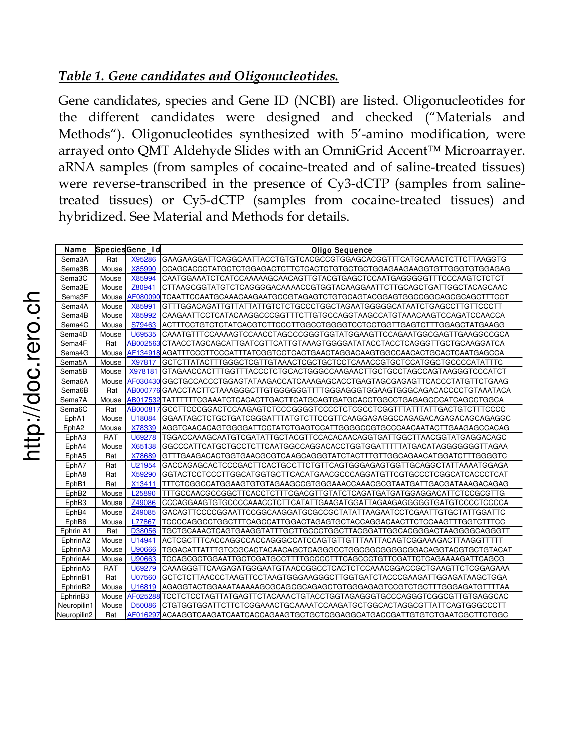### *Table 1. Gene candidates and Oligonucleotides.*

Gene candidates, species and Gene ID (NCBI) are listed. Oligonucleotides for the different candidates were designed and checked ("Materials and Methods"). Oligonucleotides synthesized with 5'-amino modification, were arrayed onto QMT Aldehyde Slides with an OmniGrid Accent™ Microarrayer. aRNA samples (from samples of cocaine-treated and of saline-treated tissues) were reverse-transcribed in the presence of Cy3-dCTP (samples from salinetreated tissues) or Cy5-dCTP (samples from cocaine-treated tissues) and hybridized. See Material and Methods for details.

| Name                |            | SpeciesGene Id | <b>Oligo Sequence</b>                                                           |
|---------------------|------------|----------------|---------------------------------------------------------------------------------|
| Sema3A              | Rat        | X95286         | GAAGAAGGATTCAGGCAATTACCTGTGTCACGCCGTGGAGCACGGTTTCATGCAAACTCTTCTTAAGGTG          |
| Sema3B              | Mouse      | X85990         | CCAGCACCCTATGCTCTGGAGACTCTTCTCACTCTGTGCTGCTGGAGAAGAAGGTGTTGGGTGTGGAGAG          |
| Sema3C              | Mouse      | X85994         | CAATGGAAATCTCATCCAAAAAGCAACAGTTGTACGTGAGCTCCAATGAGGGGGTTTCCCAAGTCTCTCT          |
| Sema3E              | Mouse      | Z80941         | CTTAAGCGGTATGTCTCAGGGGACAAAACCGTGGTACAAGGAATTCTTGCAGCTGATTGGCTACAGCAAC          |
| Sema3F              | Mouse      | AF080090       | TCAATTCCAATGCAAACAAGAATGCCGTAGAGTCTGTGCAGTACGGAGTGGCCGGCAGCGCAGCTTTCCT          |
| Sema4A              | Mouse      | X85991         | GTTTGGACAGATTGTTATTATTGTCTCTGCCCTGGCTAGAATGGGGGCATAATCTGAGCCTTGTTCCCTT          |
| Sema4B              | Mouse      | X85992         | CAAGAATTCCTCATACAAGGCCCGGTTTCTTGTGCCAGGTAAGCCATGTAAACAAGTCCAGATCCAACCA          |
| Sema4C              | Mouse      | S79463         | ACTTTCCTGTCTCTATCACGTCTTCCCTTGGCCTGGGGTCCTCCTGGTTGAGTCTTTGGAGCTATGAAGG          |
| Sema4D              | Mouse      | U69535         | CAAATGTTTCCAAAAGTCCAACCTAGCCCGGGTGGTATGGAAGTTCCAGAATGGCGAGTTGAAGGCCGCA          |
| Sema4F              | Rat        |                |                                                                                 |
| Sema4G              | Mouse      |                | AF134918 AGATTTCCCTTCCCATTTATCGGTCCTCACTGAACTAGGACAAGTGGCCAACACTGCACTCAATGAGCCA |
| Sema5A              | Mouse      | X97817         | GCTCTTATACTTTGGGCTCGTTGTAAACTCGCTGCTCCTCAAACCGTGCTCCATGGCTGCCCCATATTTC          |
| Sema <sub>5</sub> B | Mouse      | X978181        | GTAGAACCACTTTGGTTTACCCTCTGCACTGGGCCAAGAACTTGCTGCCTAGCCAGTAAGGGTCCCATCT          |
| Sema6A              | Mouse      | AF030430       | GGCTGCCACCCTGGAGTATAAGACCATCAAAGAGCACCTGAGTAGCGAGAGTTCACCCTATGTTCTGAAG          |
| Sema6B              | Rat        |                | AB000776 GAACCTACTTCTAAAGGGCTTGTGGGGGGTTTTGGGAGGGTGGAAGTGGGCAGACACCCCTGTAAATACA |
| Sema7A              | Mouse      | AB017532       | TATTTTTTCGAAATCTCACACTTGACTTCATGCAGTGATGCACCTGGCCTGAGAGCCCATCAGCCTGGCA          |
| Sema <sub>6</sub> C | Rat        | AB000817       |                                                                                 |
| EphA1               | Mouse      | U18084         | GGAATAGCTCTGCTGATCGGGATTTATGTCTTCCGTTCAAGGAGAGGCCAGAGACAGAGACAGCAGAGGC          |
| EphA2               | Mouse      | X78339         | AGGTCAACACAGTGGGGATTCCTATCTGAGTCCATTGGGGCCGTGCCCAACAATACTTGAAGAGCCACAG          |
| EphA3               | RAT        | U69278         | TGGACCAAAGCAATGTCGATATTGCTACGTTCCACACAACAGGTGATTGGCTTAACGGTATGAGGACAGC          |
| EphA4               | Mouse      | X65138         | GGCCCATTCATGCTGCCTCTTCAATGGCCAGGACACCTGGTGGATTTTTATGACATAGGGGGGGTTAGAA          |
| EphA5               | Rat        | X78689         | GTTTGAAGACACTGGTGAACGCGTCAAGCAGGGTATCTACTTTGTTGGCAGAACATGGATCTTTGGGGTC          |
| EphA7               | Rat        | U21954         | GACCAGAGCACTCCCGACTTCACTGCCTTCTGTTCAGTGGGAGAGTGGTTGCAGGCTATTAAAATGGAGA          |
| EphA8               | Rat        | X59290         | GGTACTCCTCCCTTGGCATGGTGCTTCACATGAACGCCCAGGATGTTCGTGCCCTCGGCATCACCCTCAT          |
| EphB1               | Rat        | X13411         | TTTCTCGGCCATGGAAGTGTGTAGAAGCCGTGGGAAACCAAACGCGTAATGATTGACGATAAAGACAGAG          |
| EphB <sub>2</sub>   | Mouse      | L25890         | TTTGCCAACGCCGGCTTCACCTCTTTCGACGTTGTATCTCAGATGATGATGGAGGACATTCTCCGCGTTG          |
| EphB3               | Mouse      | Z49086         | CCCAGGAAGTGTGCCCCAAACCTCTTCATATTGAAGATGGATTAGAAGAGGGGGTGATGTCCCCTCCCCA          |
| EphB4               | Mouse      | Z49085         | GACAGTTCCCCGGAATTCCGGCAAGGATGCGCCGCTATATTAAGAATCCTCGAATTGTGCTATTGGATTC          |
| EphB6               | Mouse      | L77867         | TCCCCAGGCCTGGCTTTCAGCCATTGGACTAGAGTGCTACCAGGACAACTTCTCCAAGTTTGGTCTTTCC          |
| Ephrin A1           | Rat        | D38056         | TGCTGCAAACTCAGTGAAGGTATTTGCTTGCCCTGGCTTACGGATTGGCACGGGACTAAGGGGCAGGGTT          |
| EphrinA2            | Mouse      | U14941         | ACTCGCTTTCACCAGGCCACCAGGGCCATCCAGTGTTGTTTAATTACAGTCGGAAAGACTTAAGGTTTTT          |
| EphrinA3            | Mouse      | U90666         |                                                                                 |
| EphrinA4            | Mouse      | U90663         | TCCAGCGCTGGAATTGCTCGATGCCTTTTGCCCCTTTCAGCCCTGTTCGATTCTCAGAAAAGATTCAGCG          |
| EphrinA5            | <b>RAT</b> | U69279         | CAAAGGGTTCAAGAGATGGGAATGTAACCGGCCTCACTCTCCAAACGGACCGCTGAAGTTCTCGGAGAAA          |
| EphrinB1            | Rat        | U07560         | GCTCTCTTAACCCTAAGTTCCTAAGTGGGAAGGGCTTGGTGATCTACCCGAAGATTGGAGATAAGCTGGA          |
| EphrinB2            | Mouse      | U16819         | AGAGGTACTGGAAATAAAAAGCGCAGCGCAGAGCTGTGGGAGAGTCCGTCTGCTTTGGGAGATGTTTTAA          |
| EphrinB3            | Mouse      |                | AF025288 TCCTCTCCTAGTTATGAGTTCTACAAACTGTACCTGGTAGAGGGTGCCCAGGGTCGGCGTTGTGAGGCAC |
| Neuropilin1         | Mouse      | D50086         | CTGTGGTGGATTCTTCTCGGAAACTGCAAAATCCAAGATGCTGGCACTAGGCGTTATTCAGTGGGCCCTT          |
| Neuropilin2         | Rat        |                | AF016297 ACAAGGTCAAGATCAATCACCAGAAGTGCTGCTCGGAGGCATGACCGATTGTGTCTGAATCGCTTCTGGC |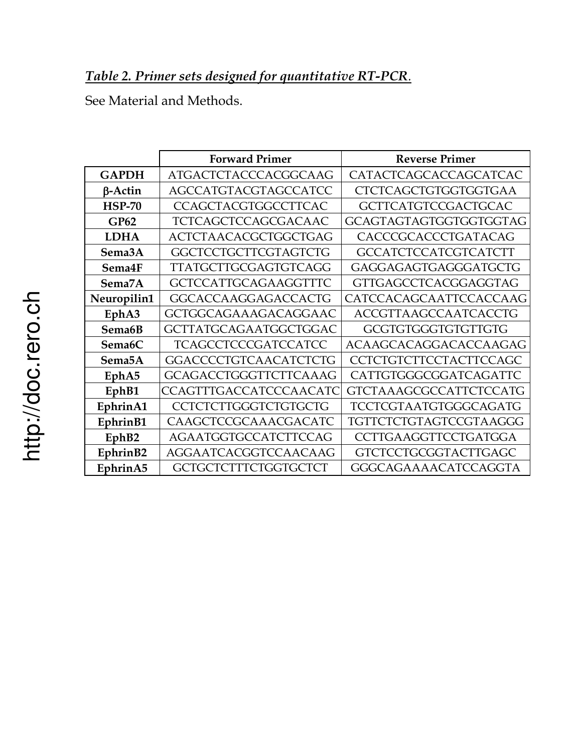See Material and Methods.

|                     | <b>Forward Primer</b>        | <b>Reverse Primer</b>         |
|---------------------|------------------------------|-------------------------------|
| <b>GAPDH</b>        | ATGACTCTACCCACGGCAAG         | CATACTCAGCACCAGCATCAC         |
| $\beta$ -Actin      | <b>AGCCATGTACGTAGCCATCC</b>  | <b>CTCTCAGCTGTGGTGGTGAA</b>   |
| <b>HSP-70</b>       | <b>CCAGCTACGTGGCCTTCAC</b>   | <b>GCTTCATGTCCGACTGCAC</b>    |
| GP62                | TCTCAGCTCCAGCGACAAC          | <b>GCAGTAGTAGTGGTGGTGGTAG</b> |
| <b>LDHA</b>         | ACTCTAACACGCTGGCTGAG         | CACCCGCACCCTGATACAG           |
| Sema3A              | <b>GGCTCCTGCTTCGTAGTCTG</b>  | <b>GCCATCTCCATCGTCATCTT</b>   |
| Sema4F              | <b>TTATGCTTGCGAGTGTCAGG</b>  | GAGGAGAGTGAGGGATGCTG          |
| Sema7A              | <b>GCTCCATTGCAGAAGGTTTC</b>  | <b>GTTGAGCCTCACGGAGGTAG</b>   |
| Neuropilin1         | <b>GGCACCAAGGAGACCACTG</b>   | CATCCACAGCAATTCCACCAAG        |
| EphA3               | GCTGGCAGAAAGACAGGAAC         | <b>ACCGTTAAGCCAATCACCTG</b>   |
| Sema6B              | <b>GCTTATGCAGAATGGCTGGAC</b> | <b>GCGTGTGGGTGTGTTGTG</b>     |
| Sema <sub>6</sub> C | <b>TCAGCCTCCCGATCCATCC</b>   | ACAAGCACAGGACACCAAGAG         |
| Sema <sub>5</sub> A | <b>GGACCCCTGTCAACATCTCTG</b> | <b>CCTCTGTCTTCCTACTTCCAGC</b> |
| Eph <sub>A5</sub>   | <b>GCAGACCTGGGTTCTTCAAAG</b> | CATTGTGGGCGGATCAGATTC         |
| EphB1               | CCAGTTTGACCATCCCAACATC       | <b>GTCTAAAGCGCCATTCTCCATG</b> |
| EphrinA1            | <b>CCTCTCTTGGGTCTGTGCTG</b>  | TCCTCGTAATGTGGGCAGATG         |
| EphrinB1            | CAAGCTCCGCAAACGACATC         | TGTTCTCTGTAGTCCGTAAGGG        |
| EphB2               | <b>AGAATGGTGCCATCTTCCAG</b>  | <b>CCTTGAAGGTTCCTGATGGA</b>   |
| EphrinB2            | AGGAATCACGGTCCAACAAG         | <b>GTCTCCTGCGGTACTTGAGC</b>   |
| EphrinA5            | <b>GCTGCTCTTTCTGGTGCTCT</b>  | <b>GGGCAGAAAACATCCAGGTA</b>   |